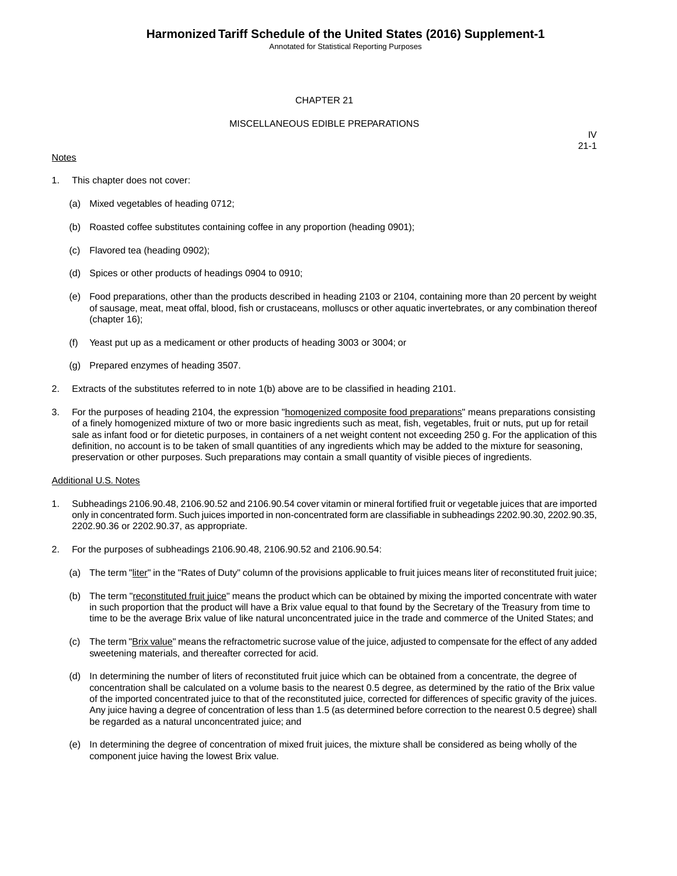Annotated for Statistical Reporting Purposes

#### CHAPTER 21

#### MISCELLANEOUS EDIBLE PREPARATIONS

#### **Notes**

IV 21-1

- 1. This chapter does not cover:
	- (a) Mixed vegetables of heading 0712;
	- (b) Roasted coffee substitutes containing coffee in any proportion (heading 0901);
	- (c) Flavored tea (heading 0902);
	- (d) Spices or other products of headings 0904 to 0910;
	- (e) Food preparations, other than the products described in heading 2103 or 2104, containing more than 20 percent by weight of sausage, meat, meat offal, blood, fish or crustaceans, molluscs or other aquatic invertebrates, or any combination thereof (chapter 16);
	- (f) Yeast put up as a medicament or other products of heading 3003 or 3004; or
	- (g) Prepared enzymes of heading 3507.
- 2. Extracts of the substitutes referred to in note 1(b) above are to be classified in heading 2101.
- 3. For the purposes of heading 2104, the expression "homogenized composite food preparations" means preparations consisting of a finely homogenized mixture of two or more basic ingredients such as meat, fish, vegetables, fruit or nuts, put up for retail sale as infant food or for dietetic purposes, in containers of a net weight content not exceeding 250 g. For the application of this definition, no account is to be taken of small quantities of any ingredients which may be added to the mixture for seasoning, preservation or other purposes. Such preparations may contain a small quantity of visible pieces of ingredients.

#### Additional U.S. Notes

- 1. Subheadings 2106.90.48, 2106.90.52 and 2106.90.54 cover vitamin or mineral fortified fruit or vegetable juices that are imported only in concentrated form. Such juices imported in non-concentrated form are classifiable in subheadings 2202.90.30, 2202.90.35, 2202.90.36 or 2202.90.37, as appropriate.
- 2. For the purposes of subheadings 2106.90.48, 2106.90.52 and 2106.90.54:
	- (a) The term "liter" in the "Rates of Duty" column of the provisions applicable to fruit juices means liter of reconstituted fruit juice;
	- (b) The term "reconstituted fruit juice" means the product which can be obtained by mixing the imported concentrate with water in such proportion that the product will have a Brix value equal to that found by the Secretary of the Treasury from time to time to be the average Brix value of like natural unconcentrated juice in the trade and commerce of the United States; and
	- (c) The term "Brix value" means the refractometric sucrose value of the juice, adjusted to compensate for the effect of any added sweetening materials, and thereafter corrected for acid.
	- (d) In determining the number of liters of reconstituted fruit juice which can be obtained from a concentrate, the degree of concentration shall be calculated on a volume basis to the nearest 0.5 degree, as determined by the ratio of the Brix value of the imported concentrated juice to that of the reconstituted juice, corrected for differences of specific gravity of the juices. Any juice having a degree of concentration of less than 1.5 (as determined before correction to the nearest 0.5 degree) shall be regarded as a natural unconcentrated juice; and
	- (e) In determining the degree of concentration of mixed fruit juices, the mixture shall be considered as being wholly of the component juice having the lowest Brix value.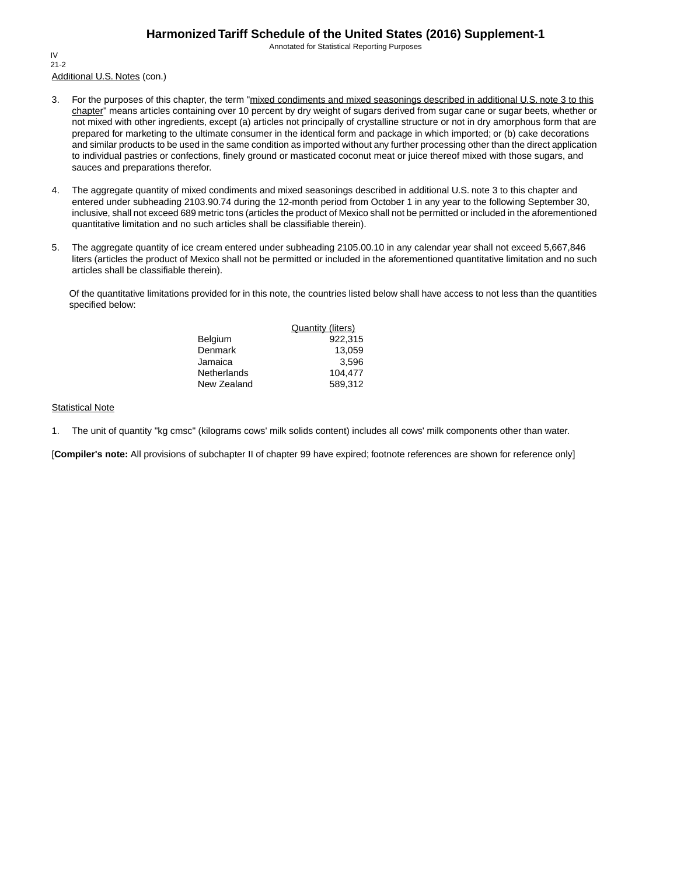Annotated for Statistical Reporting Purposes

Additional U.S. Notes (con.) IV 21-2

- 3. For the purposes of this chapter, the term "mixed condiments and mixed seasonings described in additional U.S. note 3 to this chapter" means articles containing over 10 percent by dry weight of sugars derived from sugar cane or sugar beets, whether or not mixed with other ingredients, except (a) articles not principally of crystalline structure or not in dry amorphous form that are prepared for marketing to the ultimate consumer in the identical form and package in which imported; or (b) cake decorations and similar products to be used in the same condition as imported without any further processing other than the direct application to individual pastries or confections, finely ground or masticated coconut meat or juice thereof mixed with those sugars, and sauces and preparations therefor.
- 4. The aggregate quantity of mixed condiments and mixed seasonings described in additional U.S. note 3 to this chapter and entered under subheading 2103.90.74 during the 12-month period from October 1 in any year to the following September 30, inclusive, shall not exceed 689 metric tons (articles the product of Mexico shall not be permitted or included in the aforementioned quantitative limitation and no such articles shall be classifiable therein).
- 5. The aggregate quantity of ice cream entered under subheading 2105.00.10 in any calendar year shall not exceed 5,667,846 liters (articles the product of Mexico shall not be permitted or included in the aforementioned quantitative limitation and no such articles shall be classifiable therein).

Of the quantitative limitations provided for in this note, the countries listed below shall have access to not less than the quantities specified below:

|                    | <b>Quantity (liters)</b> |
|--------------------|--------------------------|
| <b>Belgium</b>     | 922.315                  |
| Denmark            | 13.059                   |
| Jamaica            | 3.596                    |
| <b>Netherlands</b> | 104.477                  |
| New Zealand        | 589.312                  |

#### **Statistical Note**

1. The unit of quantity "kg cmsc" (kilograms cows' milk solids content) includes all cows' milk components other than water.

[**Compiler's note:** All provisions of subchapter II of chapter 99 have expired; footnote references are shown for reference only]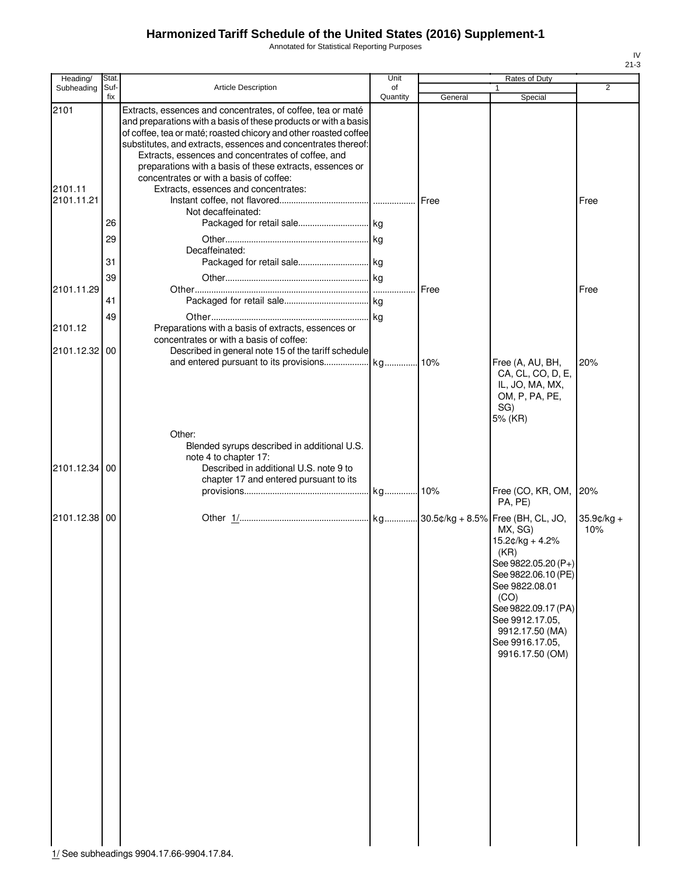Annotated for Statistical Reporting Purposes

| Heading/              | Stat.          |                                                                                                                                                                                                                                                                                                                                                                                       | Unit     |         | Rates of Duty                                                                                                                                                                                                            |                      |
|-----------------------|----------------|---------------------------------------------------------------------------------------------------------------------------------------------------------------------------------------------------------------------------------------------------------------------------------------------------------------------------------------------------------------------------------------|----------|---------|--------------------------------------------------------------------------------------------------------------------------------------------------------------------------------------------------------------------------|----------------------|
| Subheading            | Suf-<br>fix    | Article Description                                                                                                                                                                                                                                                                                                                                                                   | of       |         | 1                                                                                                                                                                                                                        | 2                    |
| 2101                  |                | Extracts, essences and concentrates, of coffee, tea or maté<br>and preparations with a basis of these products or with a basis<br>of coffee, tea or maté; roasted chicory and other roasted coffee<br>substitutes, and extracts, essences and concentrates thereof:<br>Extracts, essences and concentrates of coffee, and<br>preparations with a basis of these extracts, essences or | Quantity | General | Special                                                                                                                                                                                                                  |                      |
| 2101.11<br>2101.11.21 | 26             | concentrates or with a basis of coffee:<br>Extracts, essences and concentrates:<br>Not decaffeinated:                                                                                                                                                                                                                                                                                 |          | Free    |                                                                                                                                                                                                                          | Free                 |
|                       | 29<br>31<br>39 | Decaffeinated:                                                                                                                                                                                                                                                                                                                                                                        |          |         |                                                                                                                                                                                                                          |                      |
| 2101.11.29            | 41<br>49       |                                                                                                                                                                                                                                                                                                                                                                                       |          | Free    |                                                                                                                                                                                                                          | Free                 |
| 2101.12<br>2101.12.32 | 00             | Preparations with a basis of extracts, essences or<br>concentrates or with a basis of coffee:<br>Described in general note 15 of the tariff schedule                                                                                                                                                                                                                                  |          |         |                                                                                                                                                                                                                          |                      |
|                       |                | Other:<br>Blended syrups described in additional U.S.                                                                                                                                                                                                                                                                                                                                 |          |         | Free (A, AU, BH,<br>CA, CL, CO, D, E,<br>IL, JO, MA, MX,<br>OM, P, PA, PE,<br>SG)<br>5% (KR)                                                                                                                             | 20%                  |
| 2101.12.34 00         |                | note 4 to chapter 17:<br>Described in additional U.S. note 9 to<br>chapter 17 and entered pursuant to its                                                                                                                                                                                                                                                                             |          |         | Free (CO, KR, OM,                                                                                                                                                                                                        | 20%                  |
| 2101.12.38 00         |                |                                                                                                                                                                                                                                                                                                                                                                                       |          |         | PA, PE)<br>MX, SG)<br>15.2¢/kg + 4.2%<br>(KR)<br>See 9822.05.20 (P+)<br>See 9822.06.10 (PE)<br>See 9822.08.01<br>(CO)<br>See 9822.09.17 (PA)<br>See 9912.17.05,<br>9912.17.50 (MA)<br>See 9916.17.05,<br>9916.17.50 (OM) | $35.9$ ¢/kg +<br>10% |

IV 21-3

1/ See subheadings 9904.17.66-9904.17.84.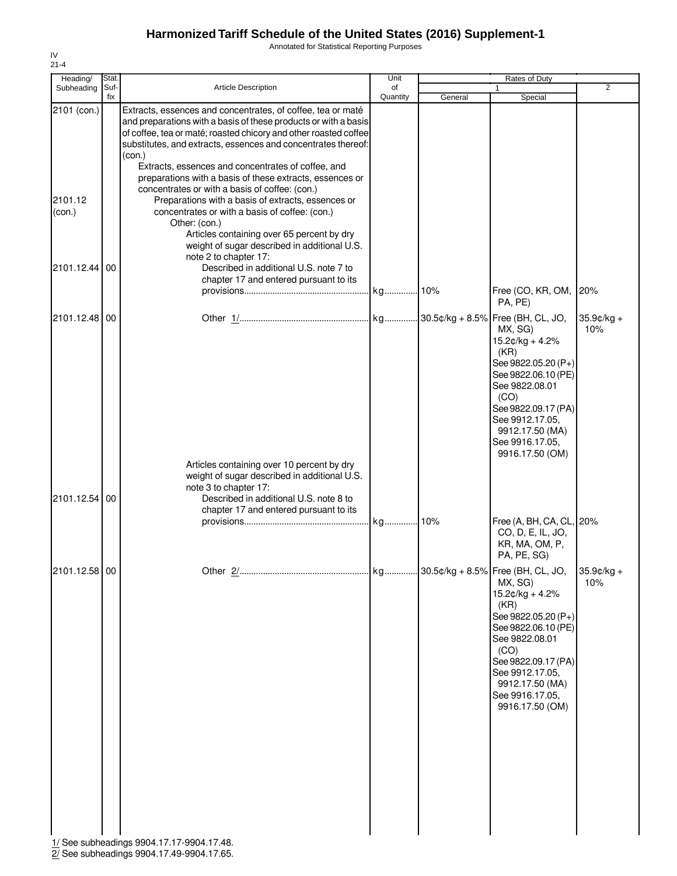Annotated for Statistical Reporting Purposes

| Heading/                                       | Stat.       |                                                                                                                                                                                                                                                                                                                                                                                                                                                                                                                                                                                                                                                                                                                                             | Unit           |         | Rates of Duty                                                                                                                                                                                                   |                      |
|------------------------------------------------|-------------|---------------------------------------------------------------------------------------------------------------------------------------------------------------------------------------------------------------------------------------------------------------------------------------------------------------------------------------------------------------------------------------------------------------------------------------------------------------------------------------------------------------------------------------------------------------------------------------------------------------------------------------------------------------------------------------------------------------------------------------------|----------------|---------|-----------------------------------------------------------------------------------------------------------------------------------------------------------------------------------------------------------------|----------------------|
| Subheading                                     | Suf-<br>fix | <b>Article Description</b>                                                                                                                                                                                                                                                                                                                                                                                                                                                                                                                                                                                                                                                                                                                  | of<br>Quantity | General | Special                                                                                                                                                                                                         | $\overline{2}$       |
| 2101 (con.)<br>2101.12<br>(con.)<br>2101.12.44 | 00          | Extracts, essences and concentrates, of coffee, tea or maté<br>and preparations with a basis of these products or with a basis<br>of coffee, tea or maté; roasted chicory and other roasted coffee<br>substitutes, and extracts, essences and concentrates thereof:<br>(con.)<br>Extracts, essences and concentrates of coffee, and<br>preparations with a basis of these extracts, essences or<br>concentrates or with a basis of coffee: (con.)<br>Preparations with a basis of extracts, essences or<br>concentrates or with a basis of coffee: (con.)<br>Other: (con.)<br>Articles containing over 65 percent by dry<br>weight of sugar described in additional U.S.<br>note 2 to chapter 17:<br>Described in additional U.S. note 7 to |                |         |                                                                                                                                                                                                                 |                      |
|                                                |             | chapter 17 and entered pursuant to its                                                                                                                                                                                                                                                                                                                                                                                                                                                                                                                                                                                                                                                                                                      |                |         | Free (CO, KR, OM, 20%<br>PA, PE)                                                                                                                                                                                |                      |
| 2101.12.48<br>2101.12.54                       | 00<br>00    | Articles containing over 10 percent by dry<br>weight of sugar described in additional U.S.<br>note 3 to chapter 17:<br>Described in additional U.S. note 8 to                                                                                                                                                                                                                                                                                                                                                                                                                                                                                                                                                                               |                |         | MX, SG)<br>$15.2¢/kg + 4.2%$<br>(KR)<br>See 9822.05.20 (P+)<br>See 9822.06.10 (PE)<br>See 9822.08.01<br>(CO)<br>See 9822.09.17 (PA)<br>See 9912.17.05,<br>9912.17.50 (MA)<br>See 9916.17.05,<br>9916.17.50 (OM) | $35.9$ ¢/kg +<br>10% |
|                                                |             | chapter 17 and entered pursuant to its                                                                                                                                                                                                                                                                                                                                                                                                                                                                                                                                                                                                                                                                                                      |                |         | Free (A, BH, CA, CL, 20%<br>CO, D, E, IL, JO,<br>KR, MA, OM, P,<br>PA, PE, SG)                                                                                                                                  |                      |
| 2101.12.58 00                                  |             | 1/ See subheadings 9904.17.17-9904.17.48.                                                                                                                                                                                                                                                                                                                                                                                                                                                                                                                                                                                                                                                                                                   |                |         | MX, SG)<br>15.2¢/kg + 4.2%<br>(KR)<br>See 9822.05.20 (P+)<br>See 9822.06.10 (PE)<br>See 9822.08.01<br>(CO)<br>See 9822.09.17 (PA)<br>See 9912.17.05,<br>9912.17.50 (MA)<br>See 9916.17.05,<br>9916.17.50 (OM)   | $35.9¢/kg +$<br>10%  |

2/ See subheadings 9904.17.49-9904.17.65.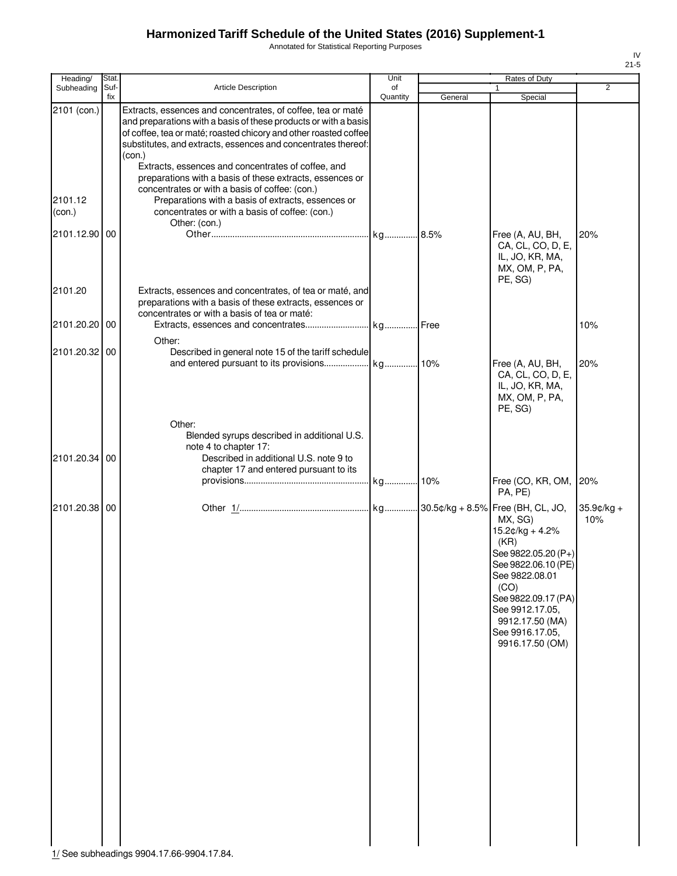Annotated for Statistical Reporting Purposes

| Heading/          | Stat. |                                                                                                                                                                                                                                                                                                                                                                                                                                                   | Unit     |         | Rates of Duty                                                                                                                                                                                                 |                   |
|-------------------|-------|---------------------------------------------------------------------------------------------------------------------------------------------------------------------------------------------------------------------------------------------------------------------------------------------------------------------------------------------------------------------------------------------------------------------------------------------------|----------|---------|---------------------------------------------------------------------------------------------------------------------------------------------------------------------------------------------------------------|-------------------|
| Subheading        | Suf-  | Article Description                                                                                                                                                                                                                                                                                                                                                                                                                               | of       |         | 1                                                                                                                                                                                                             | $\overline{2}$    |
|                   | fix   |                                                                                                                                                                                                                                                                                                                                                                                                                                                   | Quantity | General | Special                                                                                                                                                                                                       |                   |
| 2101 (con.)       |       | Extracts, essences and concentrates, of coffee, tea or maté<br>and preparations with a basis of these products or with a basis<br>of coffee, tea or maté; roasted chicory and other roasted coffee<br>substitutes, and extracts, essences and concentrates thereof:<br>(con.)<br>Extracts, essences and concentrates of coffee, and<br>preparations with a basis of these extracts, essences or<br>concentrates or with a basis of coffee: (con.) |          |         |                                                                                                                                                                                                               |                   |
| 2101.12<br>(con.) |       | Preparations with a basis of extracts, essences or<br>concentrates or with a basis of coffee: (con.)<br>Other: (con.)                                                                                                                                                                                                                                                                                                                             |          |         |                                                                                                                                                                                                               |                   |
| 2101.12.90 00     |       |                                                                                                                                                                                                                                                                                                                                                                                                                                                   |          |         | Free (A, AU, BH,<br>CA, CL, CO, D, E,<br>IL, JO, KR, MA,<br>MX, OM, P, PA,<br>PE, SG)                                                                                                                         | 20%               |
| 2101.20           |       | Extracts, essences and concentrates, of tea or maté, and<br>preparations with a basis of these extracts, essences or<br>concentrates or with a basis of tea or maté:                                                                                                                                                                                                                                                                              |          |         |                                                                                                                                                                                                               |                   |
| 2101.20.20 00     |       |                                                                                                                                                                                                                                                                                                                                                                                                                                                   |          |         |                                                                                                                                                                                                               | 10%               |
| 2101.20.32 00     |       | Other:<br>Described in general note 15 of the tariff schedule                                                                                                                                                                                                                                                                                                                                                                                     |          |         |                                                                                                                                                                                                               |                   |
|                   |       |                                                                                                                                                                                                                                                                                                                                                                                                                                                   |          |         | Free (A, AU, BH,<br>CA, CL, CO, D, E,<br>IL, JO, KR, MA,<br>MX, OM, P, PA,<br>PE, SG)                                                                                                                         | 20%               |
| 2101.20.34 00     |       | Other:<br>Blended syrups described in additional U.S.<br>note 4 to chapter 17:<br>Described in additional U.S. note 9 to<br>chapter 17 and entered pursuant to its                                                                                                                                                                                                                                                                                |          |         |                                                                                                                                                                                                               |                   |
|                   |       |                                                                                                                                                                                                                                                                                                                                                                                                                                                   |          |         | Free (CO, KR, OM,<br>PA, PE)                                                                                                                                                                                  | 20%               |
| 2101.20.38 00     |       |                                                                                                                                                                                                                                                                                                                                                                                                                                                   |          |         | MX, SG)<br>15.2¢/kg + 4.2%<br>(KR)<br>See 9822.05.20 (P+)<br>See 9822.06.10 (PE)<br>See 9822.08.01<br>(CO)<br>See 9822.09.17 (PA)<br>See 9912.17.05,<br>9912.17.50 (MA)<br>See 9916.17.05,<br>9916.17.50 (OM) | 35.9¢/kg +<br>10% |

IV 21-5

1/ See subheadings 9904.17.66-9904.17.84.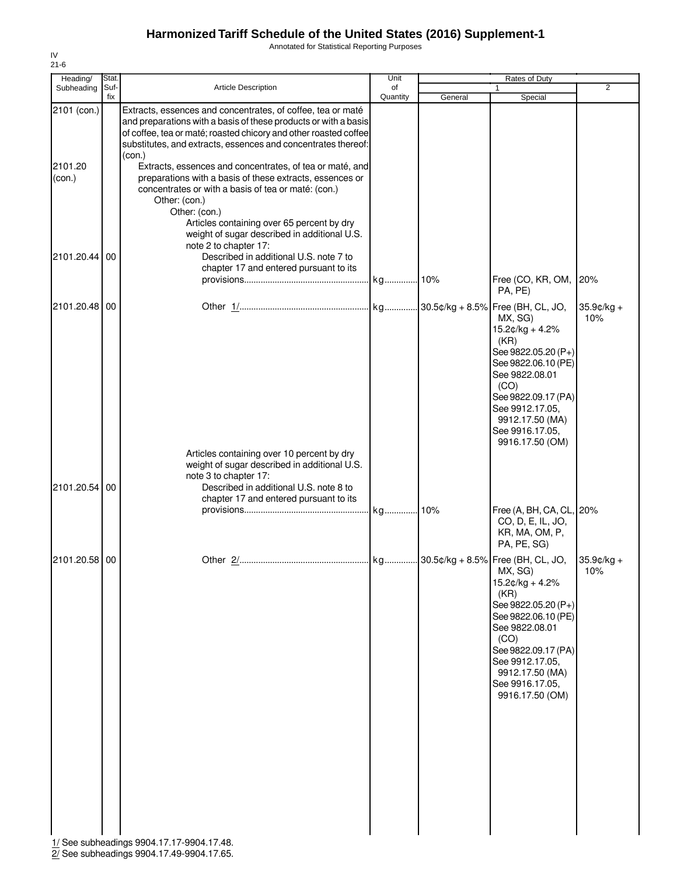Annotated for Statistical Reporting Purposes

| Heading/               | Stat.       |                                                                                                                                                                                                                                                                                                                                           | Unit           |         | Rates of Duty                                                                                                                                                                                                 |                      |
|------------------------|-------------|-------------------------------------------------------------------------------------------------------------------------------------------------------------------------------------------------------------------------------------------------------------------------------------------------------------------------------------------|----------------|---------|---------------------------------------------------------------------------------------------------------------------------------------------------------------------------------------------------------------|----------------------|
| Subheading             | Suf-<br>fix | <b>Article Description</b>                                                                                                                                                                                                                                                                                                                | of<br>Quantity | General | Special                                                                                                                                                                                                       | 2                    |
| 2101 (con.)<br>2101.20 |             | Extracts, essences and concentrates, of coffee, tea or maté<br>and preparations with a basis of these products or with a basis<br>of coffee, tea or maté; roasted chicory and other roasted coffee<br>substitutes, and extracts, essences and concentrates thereof:<br>(con.)<br>Extracts, essences and concentrates, of tea or maté, and |                |         |                                                                                                                                                                                                               |                      |
| (con.)                 |             | preparations with a basis of these extracts, essences or<br>concentrates or with a basis of tea or maté: (con.)<br>Other: (con.)<br>Other: (con.)<br>Articles containing over 65 percent by dry<br>weight of sugar described in additional U.S.<br>note 2 to chapter 17:                                                                  |                |         |                                                                                                                                                                                                               |                      |
| 2101.20.44             | 00          | Described in additional U.S. note 7 to<br>chapter 17 and entered pursuant to its                                                                                                                                                                                                                                                          |                |         | Free (CO, KR, OM, 20%<br>PA, PE)                                                                                                                                                                              |                      |
| 2101.20.48 00          |             |                                                                                                                                                                                                                                                                                                                                           |                |         | MX, SG)<br>15.2¢/kg + 4.2%<br>(KR)<br>See 9822.05.20 (P+)<br>See 9822.06.10 (PE)<br>See 9822.08.01<br>(CO)<br>See 9822.09.17 (PA)<br>See 9912.17.05,<br>9912.17.50 (MA)<br>See 9916.17.05,<br>9916.17.50 (OM) | $35.9$ ¢/kg +<br>10% |
| 2101.20.54             | 00          | Articles containing over 10 percent by dry<br>weight of sugar described in additional U.S.<br>note 3 to chapter 17:<br>Described in additional U.S. note 8 to<br>chapter 17 and entered pursuant to its                                                                                                                                   |                |         |                                                                                                                                                                                                               |                      |
|                        |             |                                                                                                                                                                                                                                                                                                                                           |                |         | Free (A, BH, CA, CL, 20%<br>CO, D, E, IL, JO,<br>KR, MA, OM, P,<br>PA, PE, SG)                                                                                                                                |                      |
| 2101.20.58 00          |             |                                                                                                                                                                                                                                                                                                                                           |                |         | MX, SG)<br>15.2¢/kg + 4.2%<br>(KR)<br>See 9822.05.20 (P+)<br>See 9822.06.10 (PE)<br>See 9822.08.01<br>(CO)<br>See 9822.09.17 (PA)<br>See 9912.17.05,<br>9912.17.50 (MA)<br>See 9916.17.05,<br>9916.17.50 (OM) | $35.9c/kg +$<br>10%  |
|                        |             | 1/ See subheadings 9904.17.17-9904.17.48.                                                                                                                                                                                                                                                                                                 |                |         |                                                                                                                                                                                                               |                      |

2/ See subheadings 9904.17.49-9904.17.65.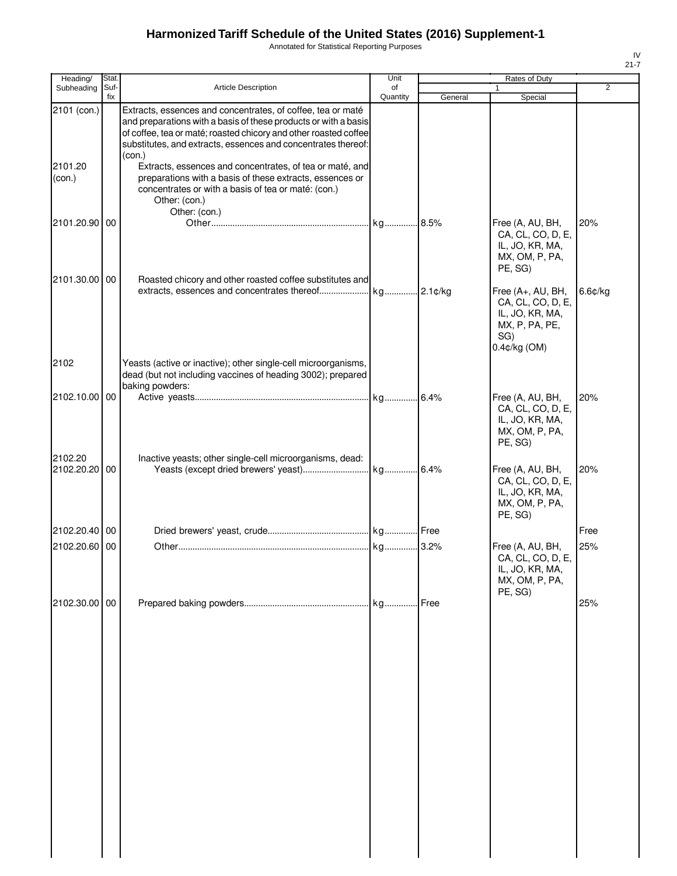Annotated for Statistical Reporting Purposes

| Heading/                 | Stat.       |                                                                                                                                                                                                                                                                               | Unit           |         | Rates of Duty                                                                                        |                  |
|--------------------------|-------------|-------------------------------------------------------------------------------------------------------------------------------------------------------------------------------------------------------------------------------------------------------------------------------|----------------|---------|------------------------------------------------------------------------------------------------------|------------------|
| Subheading               | Suf-<br>fix | Article Description                                                                                                                                                                                                                                                           | of<br>Quantity | General | 1.<br>Special                                                                                        | $\overline{2}$   |
| 2101 (con.)              |             | Extracts, essences and concentrates, of coffee, tea or maté<br>and preparations with a basis of these products or with a basis<br>of coffee, tea or maté; roasted chicory and other roasted coffee<br>substitutes, and extracts, essences and concentrates thereof:<br>(con.) |                |         |                                                                                                      |                  |
| 2101.20<br>(con.)        |             | Extracts, essences and concentrates, of tea or maté, and<br>preparations with a basis of these extracts, essences or<br>concentrates or with a basis of tea or maté: (con.)<br>Other: (con.)<br>Other: (con.)                                                                 |                |         |                                                                                                      |                  |
| 2101.20.90 00            |             |                                                                                                                                                                                                                                                                               |                |         | Free (A, AU, BH,<br>CA, CL, CO, D, E,<br>IL, JO, KR, MA,<br>MX, OM, P, PA,<br>PE, SG)                | 20%              |
| 2101.30.00 00            |             | Roasted chicory and other roasted coffee substitutes and                                                                                                                                                                                                                      |                |         | Free (A+, AU, BH,<br>CA, CL, CO, D, E,<br>IL, JO, KR, MA,<br>MX, P, PA, PE,<br>SG)<br>$0.4¢/kg$ (OM) | $6.6$ $c$ / $kg$ |
| 2102                     |             | Yeasts (active or inactive); other single-cell microorganisms,<br>dead (but not including vaccines of heading 3002); prepared<br>baking powders:                                                                                                                              |                |         |                                                                                                      |                  |
| 2102.10.00 00            |             |                                                                                                                                                                                                                                                                               |                |         | Free (A, AU, BH,<br>CA, CL, CO, D, E,<br>IL, JO, KR, MA,<br>MX, OM, P, PA,<br>PE, SG)                | 20%              |
| 2102.20<br>2102.20.20 00 |             | Inactive yeasts; other single-cell microorganisms, dead:                                                                                                                                                                                                                      |                |         | Free (A, AU, BH,<br>CA, CL, CO, D, E,<br>IL, JO, KR, MA,<br>MX, OM, P, PA,<br>PE, SG)                | 20%              |
| 2102.20.40 00            |             |                                                                                                                                                                                                                                                                               |                |         |                                                                                                      | Free             |
| 2102.20.60 00            |             |                                                                                                                                                                                                                                                                               |                | .3.2%   | Free (A, AU, BH,<br>CA, CL, CO, D, E,<br>IL, JO, KR, MA,<br>MX, OM, P, PA,                           | 25%              |
| 2102.30.00 00            |             |                                                                                                                                                                                                                                                                               |                | Free    | PE, SG)                                                                                              | 25%              |
|                          |             |                                                                                                                                                                                                                                                                               |                |         |                                                                                                      |                  |
|                          |             |                                                                                                                                                                                                                                                                               |                |         |                                                                                                      |                  |
|                          |             |                                                                                                                                                                                                                                                                               |                |         |                                                                                                      |                  |
|                          |             |                                                                                                                                                                                                                                                                               |                |         |                                                                                                      |                  |
|                          |             |                                                                                                                                                                                                                                                                               |                |         |                                                                                                      |                  |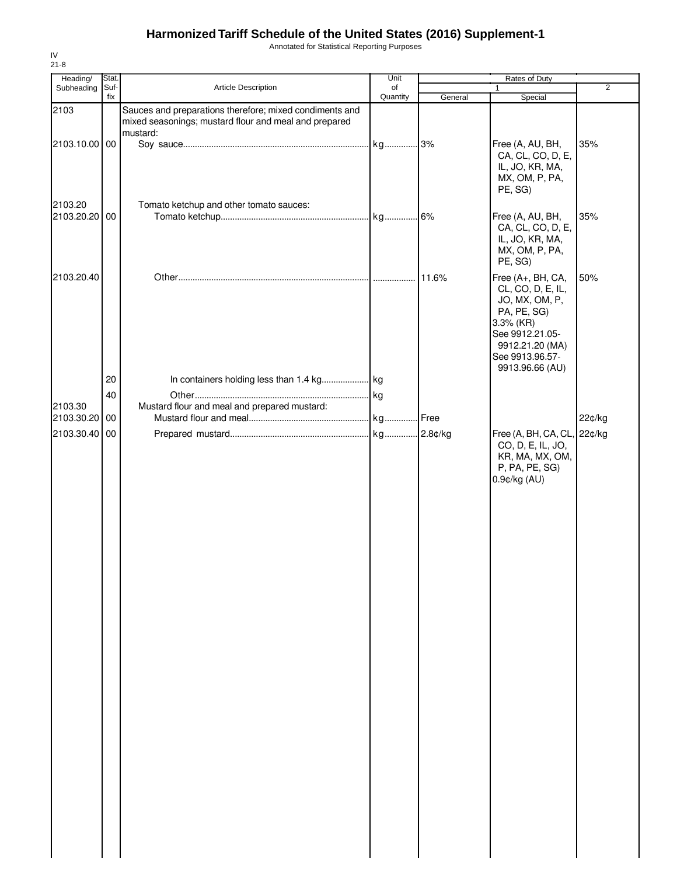Annotated for Statistical Reporting Purposes

| Heading/                 | Stat.       |                                                                                                                              | Unit           |         | Rates of Duty                                                                                                                                                    |                |
|--------------------------|-------------|------------------------------------------------------------------------------------------------------------------------------|----------------|---------|------------------------------------------------------------------------------------------------------------------------------------------------------------------|----------------|
| Subheading               | Suf-<br>fix | Article Description                                                                                                          | of<br>Quantity | General | $\mathbf{1}$<br>Special                                                                                                                                          | $\overline{2}$ |
| 2103                     |             | Sauces and preparations therefore; mixed condiments and<br>mixed seasonings; mustard flour and meal and prepared<br>mustard: |                |         |                                                                                                                                                                  |                |
| 2103.10.00 00            |             |                                                                                                                              |                |         | Free (A, AU, BH,<br>CA, CL, CO, D, E,<br>IL, JO, KR, MA,<br>MX, OM, P, PA,<br>PE, SG)                                                                            | 35%            |
| 2103.20<br>2103.20.20 00 |             | Tomato ketchup and other tomato sauces:                                                                                      |                |         | Free (A, AU, BH,<br>CA, CL, CO, D, E,<br>IL, JO, KR, MA,<br>MX, OM, P, PA,<br>PE, SG)                                                                            | 35%            |
| 2103.20.40               |             |                                                                                                                              |                | 11.6%   | Free (A+, BH, CA,<br>CL, CO, D, E, IL,<br>JO, MX, OM, P,<br>PA, PE, SG)<br>3.3% (KR)<br>See 9912.21.05-<br>9912.21.20 (MA)<br>See 9913.96.57-<br>9913.96.66 (AU) | 50%            |
|                          | 20          |                                                                                                                              |                |         |                                                                                                                                                                  |                |
| 2103.30                  | 40          |                                                                                                                              |                |         |                                                                                                                                                                  |                |
| 2103.30.20 00            |             | Mustard flour and meal and prepared mustard:                                                                                 |                |         |                                                                                                                                                                  | 22¢/kg         |
| 2103.30.40               | 00          |                                                                                                                              |                |         | Free (A, BH, CA, CL, 22¢/kg<br>CO, D, E, IL, JO,<br>KR, MA, MX, OM,<br>P, PA, PE, SG)<br>0.9¢/kg (AU)                                                            |                |
|                          |             |                                                                                                                              |                |         |                                                                                                                                                                  |                |
|                          |             |                                                                                                                              |                |         |                                                                                                                                                                  |                |
|                          |             |                                                                                                                              |                |         |                                                                                                                                                                  |                |
|                          |             |                                                                                                                              |                |         |                                                                                                                                                                  |                |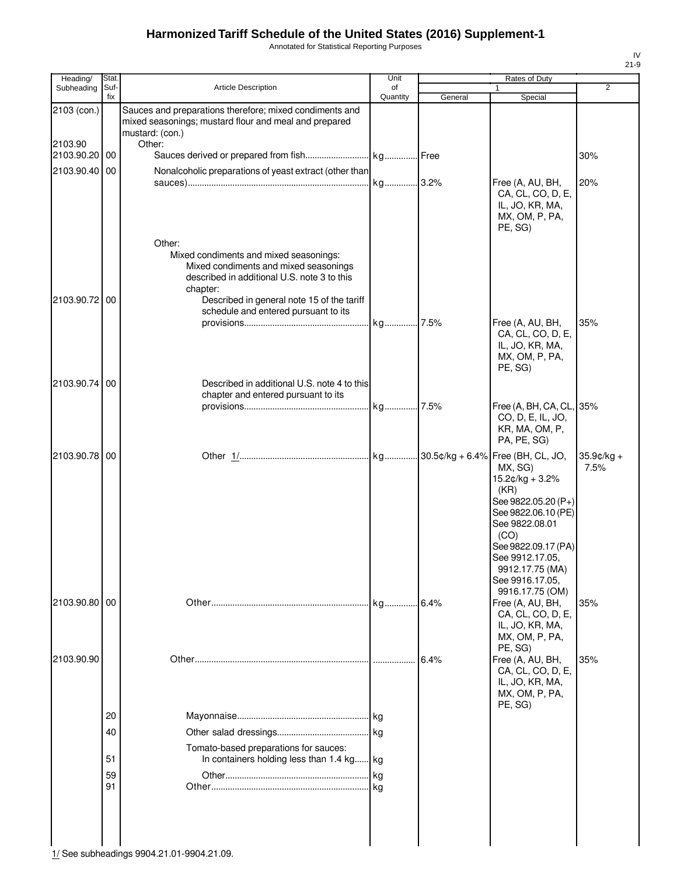Annotated for Statistical Reporting Purposes

| Heading/               | Stat. |                                                                                                                                                                                                                                            | Unit     |         | Rates of Duty                                                                                                                                                                                                   |                       |
|------------------------|-------|--------------------------------------------------------------------------------------------------------------------------------------------------------------------------------------------------------------------------------------------|----------|---------|-----------------------------------------------------------------------------------------------------------------------------------------------------------------------------------------------------------------|-----------------------|
| Subheading             | Suf-  | Article Description                                                                                                                                                                                                                        | of       |         |                                                                                                                                                                                                                 | $\overline{2}$        |
|                        | fix   |                                                                                                                                                                                                                                            | Quantity | General | Special                                                                                                                                                                                                         |                       |
| 2103 (con.)<br>2103.90 |       | Sauces and preparations therefore; mixed condiments and<br>mixed seasonings; mustard flour and meal and prepared<br>mustard: (con.)<br>Other:                                                                                              |          |         |                                                                                                                                                                                                                 |                       |
| 2103.90.20             | 00    |                                                                                                                                                                                                                                            |          |         |                                                                                                                                                                                                                 | 30%                   |
| 2103.90.40             | 00    | Nonalcoholic preparations of yeast extract (other than                                                                                                                                                                                     |          |         |                                                                                                                                                                                                                 |                       |
|                        |       |                                                                                                                                                                                                                                            |          |         | Free (A, AU, BH,<br>CA, CL, CO, D, E,<br>IL, JO, KR, MA,<br>MX, OM, P, PA,<br>PE, SG)                                                                                                                           | 20%                   |
| 2103.90.72             | 00    | Other:<br>Mixed condiments and mixed seasonings:<br>Mixed condiments and mixed seasonings<br>described in additional U.S. note 3 to this<br>chapter:<br>Described in general note 15 of the tariff<br>schedule and entered pursuant to its |          |         |                                                                                                                                                                                                                 |                       |
|                        |       |                                                                                                                                                                                                                                            | kg 7.5%  |         | Free (A, AU, BH,<br>CA, CL, CO, D, E,<br>IL, JO, KR, MA,<br>MX, OM, P, PA,<br>PE, SG)                                                                                                                           | 35%                   |
| 2103.90.74 00          |       | Described in additional U.S. note 4 to this                                                                                                                                                                                                |          |         |                                                                                                                                                                                                                 |                       |
|                        |       | chapter and entered pursuant to its                                                                                                                                                                                                        |          |         |                                                                                                                                                                                                                 |                       |
|                        |       |                                                                                                                                                                                                                                            |          |         | Free (A, BH, CA, CL, 35%<br>CO, D, E, IL, JO,<br>KR, MA, OM, P,<br>PA, PE, SG)                                                                                                                                  |                       |
| 2103.90.78             | 00    |                                                                                                                                                                                                                                            |          |         | MX, SG)<br>$15.2¢/kg + 3.2%$<br>(KR)<br>See 9822.05.20 (P+)<br>See 9822.06.10 (PE)<br>See 9822.08.01<br>(CO)<br>See 9822.09.17 (PA)<br>See 9912.17.05,<br>9912.17.75 (MA)<br>See 9916.17.05,<br>9916.17.75 (OM) | $35.9$ ¢/kg +<br>7.5% |
| 2103.90.80 00          |       |                                                                                                                                                                                                                                            |          | .6.4%   | Free (A, AU, BH,<br>CA, CL, CO, D, E,<br>IL, JO, KR, MA,<br>MX, OM, P, PA,<br>PE, SG)                                                                                                                           | 35%                   |
| 2103.90.90             |       |                                                                                                                                                                                                                                            |          | 6.4%    | Free (A, AU, BH,<br>CA, CL, CO, D, E,<br>IL, JO, KR, MA,<br>MX, OM, P, PA,<br>PE, SG)                                                                                                                           | 35%                   |
|                        | 20    |                                                                                                                                                                                                                                            |          |         |                                                                                                                                                                                                                 |                       |
|                        | 40    |                                                                                                                                                                                                                                            |          |         |                                                                                                                                                                                                                 |                       |
|                        |       | Tomato-based preparations for sauces:                                                                                                                                                                                                      |          |         |                                                                                                                                                                                                                 |                       |
|                        | 51    | In containers holding less than 1.4 kg kg                                                                                                                                                                                                  |          |         |                                                                                                                                                                                                                 |                       |
|                        | 59    |                                                                                                                                                                                                                                            | kg       |         |                                                                                                                                                                                                                 |                       |
|                        | 91    |                                                                                                                                                                                                                                            |          |         |                                                                                                                                                                                                                 |                       |
|                        |       |                                                                                                                                                                                                                                            |          |         |                                                                                                                                                                                                                 |                       |

 $\frac{1}{10}$  See subheadings 9904.21.01-9904.21.09.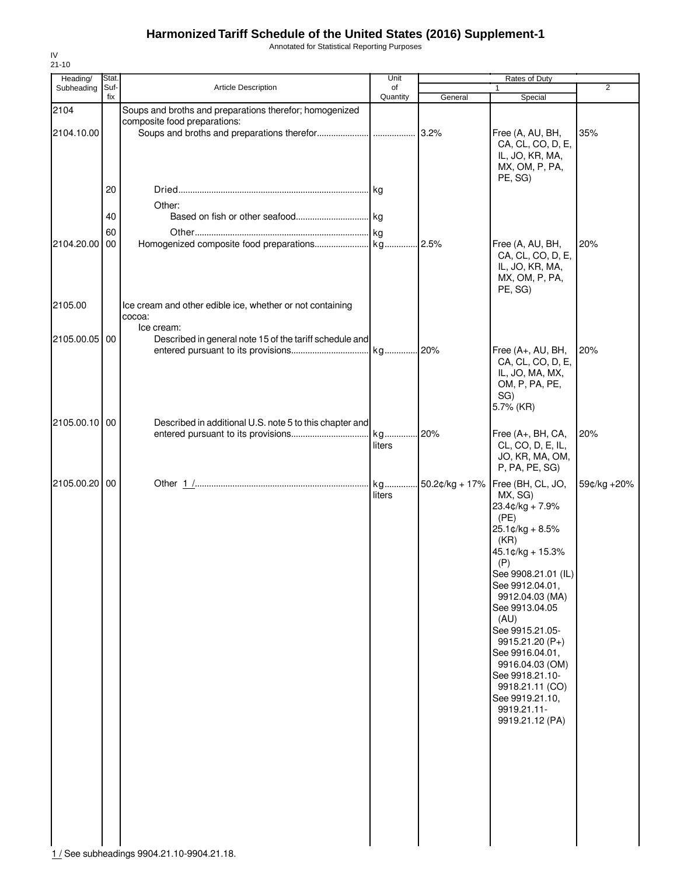Annotated for Statistical Reporting Purposes

| Heading/           | Stat. |                                                                                         | Unit     |         | Rates of Duty                                                                                                                                                                                                                                                                                                                                                                                |             |
|--------------------|-------|-----------------------------------------------------------------------------------------|----------|---------|----------------------------------------------------------------------------------------------------------------------------------------------------------------------------------------------------------------------------------------------------------------------------------------------------------------------------------------------------------------------------------------------|-------------|
| Subheading         | Suf-  | Article Description                                                                     | of       |         | $\mathbf{1}$                                                                                                                                                                                                                                                                                                                                                                                 | 2           |
|                    | fix   |                                                                                         | Quantity | General | Special                                                                                                                                                                                                                                                                                                                                                                                      |             |
| 2104<br>2104.10.00 |       | Soups and broths and preparations therefor; homogenized<br>composite food preparations: |          | 3.2%    | Free (A, AU, BH,<br>CA, CL, CO, D, E,<br>IL, JO, KR, MA,<br>MX, OM, P, PA,<br>PE, SG)                                                                                                                                                                                                                                                                                                        | 35%         |
|                    | 20    |                                                                                         | kg       |         |                                                                                                                                                                                                                                                                                                                                                                                              |             |
|                    |       | Other:                                                                                  |          |         |                                                                                                                                                                                                                                                                                                                                                                                              |             |
|                    | 40    |                                                                                         |          |         |                                                                                                                                                                                                                                                                                                                                                                                              |             |
|                    | 60    |                                                                                         |          |         |                                                                                                                                                                                                                                                                                                                                                                                              |             |
| 2104.20.00         | 00    |                                                                                         |          |         | Free (A, AU, BH,<br>CA, CL, CO, D, E,<br>IL, JO, KR, MA,<br>MX, OM, P, PA,<br>PE, SG)                                                                                                                                                                                                                                                                                                        | 20%         |
| 2105.00            |       | Ice cream and other edible ice, whether or not containing                               |          |         |                                                                                                                                                                                                                                                                                                                                                                                              |             |
|                    |       | cocoa:                                                                                  |          |         |                                                                                                                                                                                                                                                                                                                                                                                              |             |
|                    |       | Ice cream:                                                                              |          |         |                                                                                                                                                                                                                                                                                                                                                                                              |             |
| 2105.00.05         | 00    | Described in general note 15 of the tariff schedule and                                 |          |         | Free (A+, AU, BH,<br>CA, CL, CO, D, E,<br>IL, JO, MA, MX,<br>OM, P, PA, PE,<br>SG)<br>5.7% (KR)                                                                                                                                                                                                                                                                                              | 20%         |
| 2105.00.10 00      |       | Described in additional U.S. note 5 to this chapter and                                 |          |         |                                                                                                                                                                                                                                                                                                                                                                                              |             |
|                    |       |                                                                                         | liters   | 20%     | Free (A+, BH, CA,<br>CL, CO, D, E, IL,<br>JO, KR, MA, OM,<br>P, PA, PE, SG)                                                                                                                                                                                                                                                                                                                  | 20%         |
| 2105.00.20 00      |       |                                                                                         | liters   |         | 50.2¢/kg + 17%   Free (BH, CL, JO,<br>MX, SG)<br>23.4¢/kg + 7.9%<br>(PE)<br>25.1¢/kg + 8.5%<br>(KR)<br>45.1¢/kg + 15.3%<br>(P)<br>See 9908.21.01 (IL)<br>See 9912.04.01,<br>9912.04.03 (MA)<br>See 9913.04.05<br>(AU)<br>See 9915.21.05-<br>9915.21.20 (P+)<br>See 9916.04.01,<br>9916.04.03 (OM)<br>See 9918.21.10-<br>9918.21.11 (CO)<br>See 9919.21.10,<br>9919.21.11-<br>9919.21.12 (PA) | 59¢/kg +20% |

IV 21-10

1 / See subheadings 9904.21.10-9904.21.18.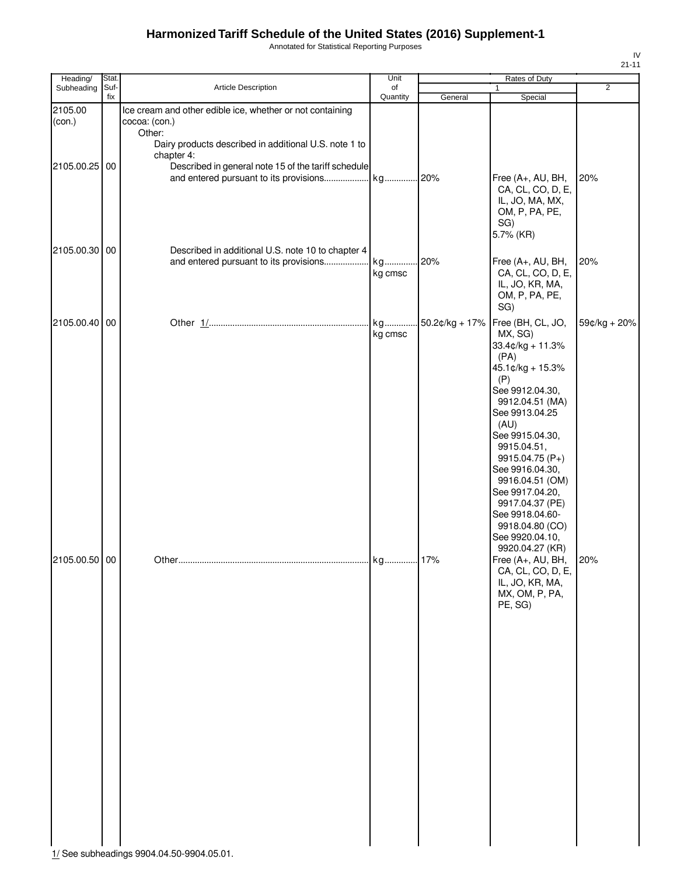Annotated for Statistical Reporting Purposes

| Heading/                       | Stat.       |                                                                                                                                                             | Unit           |                | Rates of Duty                                                                                                                                                                                                                                                                                                                                                                                                                                              |                     |
|--------------------------------|-------------|-------------------------------------------------------------------------------------------------------------------------------------------------------------|----------------|----------------|------------------------------------------------------------------------------------------------------------------------------------------------------------------------------------------------------------------------------------------------------------------------------------------------------------------------------------------------------------------------------------------------------------------------------------------------------------|---------------------|
| Subheading                     | Suf-<br>fix | Article Description                                                                                                                                         | of<br>Quantity | General        | 1<br>Special                                                                                                                                                                                                                                                                                                                                                                                                                                               | $\overline{2}$      |
| 2105.00<br>(con.)              |             | Ice cream and other edible ice, whether or not containing<br>cocoa: (con.)<br>Other:<br>Dairy products described in additional U.S. note 1 to<br>chapter 4: |                |                |                                                                                                                                                                                                                                                                                                                                                                                                                                                            |                     |
| 2105.00.25 00                  |             | Described in general note 15 of the tariff schedule                                                                                                         |                |                | Free (A+, AU, BH,<br>CA, CL, CO, D, E,<br>IL, JO, MA, MX,<br>OM, P, PA, PE,<br>SG)<br>5.7% (KR)                                                                                                                                                                                                                                                                                                                                                            | 20%                 |
| 2105.00.30 00                  |             | Described in additional U.S. note 10 to chapter 4<br>and entered pursuant to its provisions                                                                 | kg<br>kg cmsc  | 20%            | Free (A+, AU, BH,<br>CA, CL, CO, D, E,<br>IL, JO, KR, MA,<br>OM, P, PA, PE,<br>SG)                                                                                                                                                                                                                                                                                                                                                                         | 20%                 |
| 2105.00.40 00<br>2105.00.50 00 |             |                                                                                                                                                             | kg<br>kg cmsc  | 50.2¢/kg + 17% | Free (BH, CL, JO,<br>MX, SG)<br>33.4¢/kg + 11.3%<br>(PA)<br>45.1¢/kg + 15.3%<br>(P)<br>See 9912.04.30,<br>9912.04.51 (MA)<br>See 9913.04.25<br>(AU)<br>See 9915.04.30,<br>9915.04.51,<br>9915.04.75 (P+)<br>See 9916.04.30,<br>9916.04.51 (OM)<br>See 9917.04.20,<br>9917.04.37 (PE)<br>See 9918.04.60-<br>9918.04.80 (CO)<br>See 9920.04.10,<br>9920.04.27 (KR)<br>Free (A+, AU, BH,<br>CA, CL, CO, D, E,<br>IL, JO, KR, MA,<br>MX, OM, P, PA,<br>PE, SG) | 59¢/kg + 20%<br>20% |
|                                |             |                                                                                                                                                             |                |                |                                                                                                                                                                                                                                                                                                                                                                                                                                                            |                     |

IV 21-11

1/ See subheadings 9904.04.50-9904.05.01.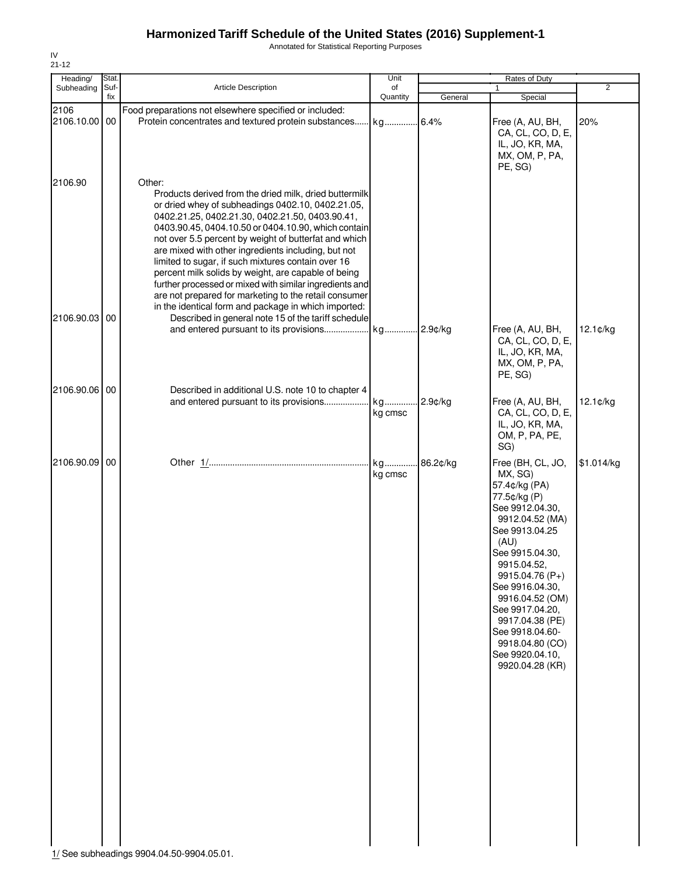Annotated for Statistical Reporting Purposes

| Heading/      | Stat. |                                                                                                                                                                                                                                                                                                                                                                                                                                                                                                                                                                                                                                          | Unit          |            | Rates of Duty                                                                                                                                                                                                                                                                                                                             |                |
|---------------|-------|------------------------------------------------------------------------------------------------------------------------------------------------------------------------------------------------------------------------------------------------------------------------------------------------------------------------------------------------------------------------------------------------------------------------------------------------------------------------------------------------------------------------------------------------------------------------------------------------------------------------------------------|---------------|------------|-------------------------------------------------------------------------------------------------------------------------------------------------------------------------------------------------------------------------------------------------------------------------------------------------------------------------------------------|----------------|
| Subheading    | Suf-  | Article Description                                                                                                                                                                                                                                                                                                                                                                                                                                                                                                                                                                                                                      | of            |            | $\mathbf{1}$                                                                                                                                                                                                                                                                                                                              | $\overline{2}$ |
| 2106          | fix   | Food preparations not elsewhere specified or included:                                                                                                                                                                                                                                                                                                                                                                                                                                                                                                                                                                                   | Quantity      | General    | Special                                                                                                                                                                                                                                                                                                                                   |                |
| 2106.10.00    | 00    | Protein concentrates and textured protein substances kg                                                                                                                                                                                                                                                                                                                                                                                                                                                                                                                                                                                  |               | 6.4%       | Free (A, AU, BH,<br>CA, CL, CO, D, E,<br>IL, JO, KR, MA,<br>MX, OM, P, PA,<br>PE, SG)                                                                                                                                                                                                                                                     | 20%            |
| 2106.90       |       | Other:<br>Products derived from the dried milk, dried buttermilk<br>or dried whey of subheadings 0402.10, 0402.21.05,<br>0402.21.25, 0402.21.30, 0402.21.50, 0403.90.41,<br>0403.90.45, 0404.10.50 or 0404.10.90, which contain<br>not over 5.5 percent by weight of butterfat and which<br>are mixed with other ingredients including, but not<br>limited to sugar, if such mixtures contain over 16<br>percent milk solids by weight, are capable of being<br>further processed or mixed with similar ingredients and<br>are not prepared for marketing to the retail consumer<br>in the identical form and package in which imported: |               |            |                                                                                                                                                                                                                                                                                                                                           |                |
| 2106.90.03 00 |       | Described in general note 15 of the tariff schedule                                                                                                                                                                                                                                                                                                                                                                                                                                                                                                                                                                                      |               | $2.9$ c/kg | Free (A, AU, BH,<br>CA, CL, CO, D, E,<br>IL, JO, KR, MA,<br>MX, OM, P, PA,<br>PE, SG)                                                                                                                                                                                                                                                     | 12.1¢/kg       |
| 2106.90.06 00 |       | Described in additional U.S. note 10 to chapter 4                                                                                                                                                                                                                                                                                                                                                                                                                                                                                                                                                                                        | kg cmsc       | $2.9$ ¢/kg | Free (A, AU, BH,<br>CA, CL, CO, D, E,<br>IL, JO, KR, MA,<br>OM, P, PA, PE,<br>SG)                                                                                                                                                                                                                                                         | 12.1¢/kg       |
| 2106.90.09 00 |       |                                                                                                                                                                                                                                                                                                                                                                                                                                                                                                                                                                                                                                          | kg<br>kg cmsc | 86.2¢/kg   | Free (BH, CL, JO,<br>MX, SG)<br>57.4¢/kg (PA)<br>77.5¢/kg (P)<br>See 9912.04.30,<br>9912.04.52 (MA)<br>See 9913.04.25<br>(AU)<br>See 9915.04.30,<br>9915.04.52<br>9915.04.76 (P+)<br>See 9916.04.30,<br>9916.04.52 (OM)<br>See 9917.04.20,<br>9917.04.38 (PE)<br>See 9918.04.60-<br>9918.04.80 (CO)<br>See 9920.04.10,<br>9920.04.28 (KR) | \$1.014/kg     |

IV 21-12

1/ See subheadings 9904.04.50-9904.05.01.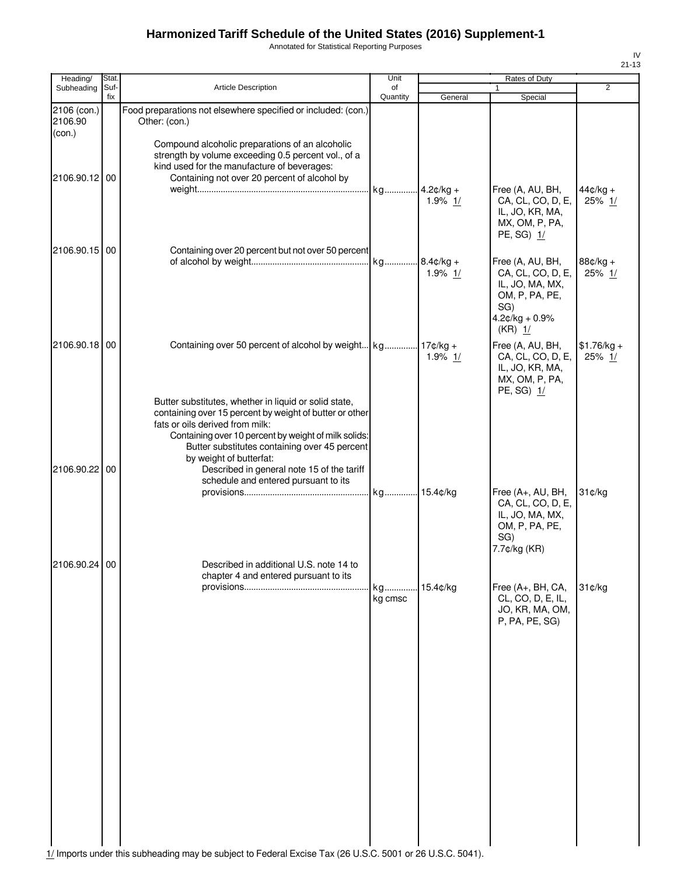Annotated for Statistical Reporting Purposes

| Heading/                | Stat.       |                                                                                                                                                                                                                                                                                                                                       | Unit           |                         | Rates of Duty                                                                                      |                          |
|-------------------------|-------------|---------------------------------------------------------------------------------------------------------------------------------------------------------------------------------------------------------------------------------------------------------------------------------------------------------------------------------------|----------------|-------------------------|----------------------------------------------------------------------------------------------------|--------------------------|
| Subheading              | Suf-<br>fix | <b>Article Description</b>                                                                                                                                                                                                                                                                                                            | of<br>Quantity | General                 | 1<br>Special                                                                                       | $\overline{2}$           |
| 2106 (con.)<br>2106.90  |             | Food preparations not elsewhere specified or included: (con.)<br>Other: (con.)                                                                                                                                                                                                                                                        |                |                         |                                                                                                    |                          |
| (con.)<br>2106.90.12 00 |             | Compound alcoholic preparations of an alcoholic<br>strength by volume exceeding 0.5 percent vol., of a<br>kind used for the manufacture of beverages:<br>Containing not over 20 percent of alcohol by                                                                                                                                 | kg 4.2¢/kg +   | 1.9% $1/$               | Free (A, AU, BH,<br>CA, CL, CO, D, E,<br>IL, JO, KR, MA,<br>MX, OM, P, PA,                         | $44¢/kg +$<br>25% 1/     |
| 2106.90.15 00           |             | Containing over 20 percent but not over 50 percent                                                                                                                                                                                                                                                                                    |                | 1.9% 1/                 | PE, SG) 1/<br>Free (A, AU, BH,<br>CA, CL, CO, D, E,                                                | $88¢/kg +$<br>25% 1/     |
|                         |             |                                                                                                                                                                                                                                                                                                                                       |                |                         | IL, JO, MA, MX,<br>OM, P, PA, PE,<br>SG)<br>$4.2¢/kg + 0.9%$<br>$(KR)$ 1/                          |                          |
| 2106.90.18 00           |             | Containing over 50 percent of alcohol by weight kg                                                                                                                                                                                                                                                                                    |                | $17¢/kg +$<br>1.9% $1/$ | Free (A, AU, BH,<br>CA, CL, CO, D, E,<br>IL, JO, KR, MA,<br>MX, OM, P, PA,<br>PE, SG) 1/           | $$1.76/kg +$<br>25% $1/$ |
| 2106.90.22 00           |             | Butter substitutes, whether in liquid or solid state,<br>containing over 15 percent by weight of butter or other<br>fats or oils derived from milk:<br>Containing over 10 percent by weight of milk solids:<br>Butter substitutes containing over 45 percent<br>by weight of butterfat:<br>Described in general note 15 of the tariff |                |                         |                                                                                                    |                          |
|                         |             | schedule and entered pursuant to its                                                                                                                                                                                                                                                                                                  |                |                         | Free (A+, AU, BH,<br>CA, CL, CO, D, E,<br>IL, JO, MA, MX,<br>OM, P, PA, PE,<br>SG)<br>7.7¢/kg (KR) | 31¢/kg                   |
| 2106.90.24 00           |             | Described in additional U.S. note 14 to<br>chapter 4 and entered pursuant to its                                                                                                                                                                                                                                                      | kg             | 15.4¢/kg                | Free (A+, BH, CA,                                                                                  | 31¢/kg                   |
|                         |             |                                                                                                                                                                                                                                                                                                                                       | kg cmsc        |                         | CL, CO, D, E, IL,<br>JO, KR, MA, OM,<br>P, PA, PE, SG)                                             |                          |
|                         |             |                                                                                                                                                                                                                                                                                                                                       |                |                         |                                                                                                    |                          |
|                         |             |                                                                                                                                                                                                                                                                                                                                       |                |                         |                                                                                                    |                          |
|                         |             |                                                                                                                                                                                                                                                                                                                                       |                |                         |                                                                                                    |                          |
|                         |             |                                                                                                                                                                                                                                                                                                                                       |                |                         |                                                                                                    |                          |

1/ Imports under this subheading may be subject to Federal Excise Tax (26 U.S.C. 5001 or 26 U.S.C. 5041).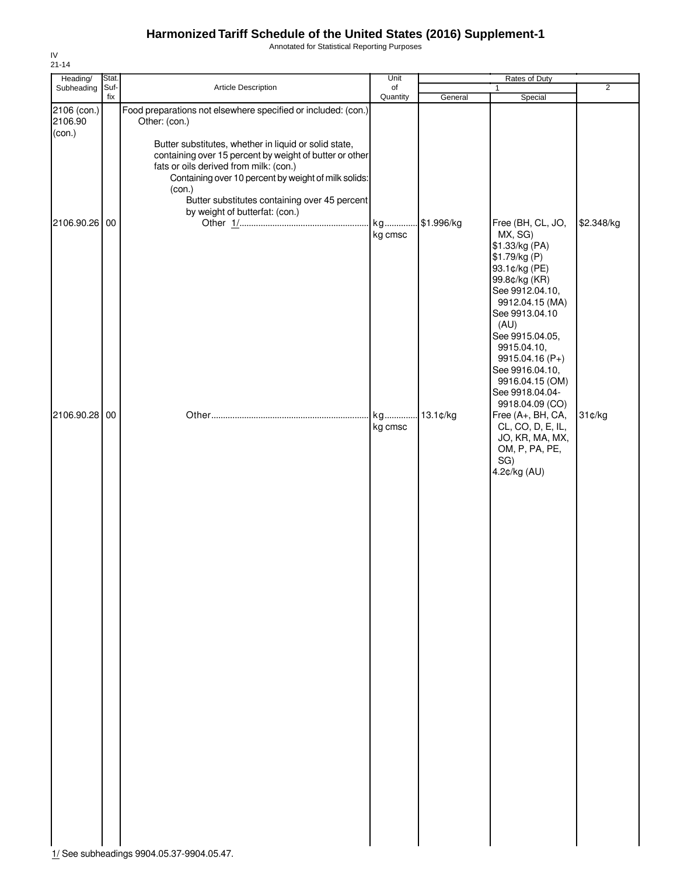Annotated for Statistical Reporting Purposes

| $\overline{2}$<br>Article Description<br>Subheading<br>Suf-<br>of<br>$\mathbf{1}$<br>fix<br>Quantity<br>General<br>Special<br>2106 (con.)<br>Food preparations not elsewhere specified or included: (con.)<br>Other: (con.)<br>2106.90<br>(con.)<br>Butter substitutes, whether in liquid or solid state,<br>containing over 15 percent by weight of butter or other<br>fats or oils derived from milk: (con.)<br>Containing over 10 percent by weight of milk solids:<br>(con.)<br>Butter substitutes containing over 45 percent<br>by weight of butterfat: (con.)<br>kg<br>\$1.996/kg<br>2106.90.26<br>Free (BH, CL, JO,<br>\$2.348/kg<br>00<br>kg cmsc<br>MX, SG)<br>\$1.33/kg (PA)<br>\$1.79/kg (P)<br>93.1¢/kg (PE)<br>99.8¢/kg (KR)<br>See 9912.04.10,<br>9912.04.15 (MA)<br>See 9913.04.10<br>(AU)<br>See 9915.04.05,<br>9915.04.10,<br>9915.04.16 (P+)<br>See 9916.04.10,<br>9916.04.15 (OM)<br>See 9918.04.04-<br>9918.04.09 (CO)<br>.13.1¢/kg<br>2106.90.28 00<br>Free (A+, BH, CA,<br>31¢/kg<br>kg<br>kg cmsc<br>CL, CO, D, E, IL,<br>JO, KR, MA, MX,<br>OM, P, PA, PE,<br>SG)<br>4.2¢/kg (AU) | 1/ See subheadings 9904.05.37-9904.05.47. | Heading/ | Stat. | Unit | Rates of Duty |  |
|-----------------------------------------------------------------------------------------------------------------------------------------------------------------------------------------------------------------------------------------------------------------------------------------------------------------------------------------------------------------------------------------------------------------------------------------------------------------------------------------------------------------------------------------------------------------------------------------------------------------------------------------------------------------------------------------------------------------------------------------------------------------------------------------------------------------------------------------------------------------------------------------------------------------------------------------------------------------------------------------------------------------------------------------------------------------------------------------------------------|-------------------------------------------|----------|-------|------|---------------|--|
|                                                                                                                                                                                                                                                                                                                                                                                                                                                                                                                                                                                                                                                                                                                                                                                                                                                                                                                                                                                                                                                                                                           |                                           |          |       |      |               |  |
|                                                                                                                                                                                                                                                                                                                                                                                                                                                                                                                                                                                                                                                                                                                                                                                                                                                                                                                                                                                                                                                                                                           |                                           |          |       |      |               |  |
|                                                                                                                                                                                                                                                                                                                                                                                                                                                                                                                                                                                                                                                                                                                                                                                                                                                                                                                                                                                                                                                                                                           |                                           |          |       |      |               |  |
|                                                                                                                                                                                                                                                                                                                                                                                                                                                                                                                                                                                                                                                                                                                                                                                                                                                                                                                                                                                                                                                                                                           |                                           |          |       |      |               |  |
|                                                                                                                                                                                                                                                                                                                                                                                                                                                                                                                                                                                                                                                                                                                                                                                                                                                                                                                                                                                                                                                                                                           |                                           |          |       |      |               |  |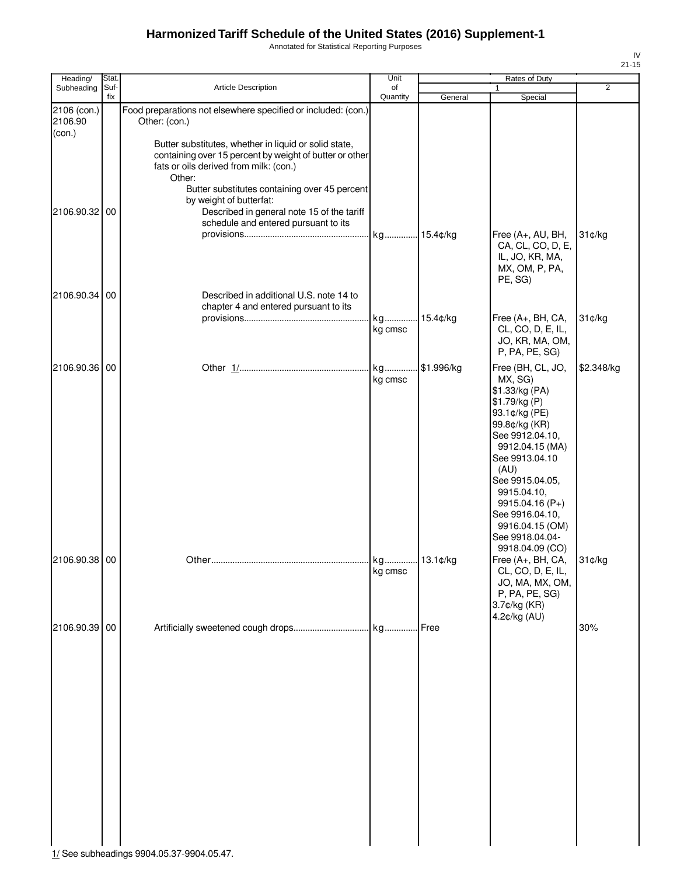Annotated for Statistical Reporting Purposes

| Stat. |                                                                                                                                      | Unit                                                                                                                                                                                 |                                                                                                                                  | Rates of Duty                                                                                                                                                                                                                                                                 |                                                                 |
|-------|--------------------------------------------------------------------------------------------------------------------------------------|--------------------------------------------------------------------------------------------------------------------------------------------------------------------------------------|----------------------------------------------------------------------------------------------------------------------------------|-------------------------------------------------------------------------------------------------------------------------------------------------------------------------------------------------------------------------------------------------------------------------------|-----------------------------------------------------------------|
|       |                                                                                                                                      | of                                                                                                                                                                                   |                                                                                                                                  |                                                                                                                                                                                                                                                                               | $\overline{2}$                                                  |
|       | Other: (con.)                                                                                                                        |                                                                                                                                                                                      |                                                                                                                                  |                                                                                                                                                                                                                                                                               |                                                                 |
|       | Butter substitutes, whether in liquid or solid state,<br>fats or oils derived from milk: (con.)<br>Other:<br>by weight of butterfat: |                                                                                                                                                                                      |                                                                                                                                  |                                                                                                                                                                                                                                                                               |                                                                 |
|       | schedule and entered pursuant to its                                                                                                 |                                                                                                                                                                                      |                                                                                                                                  | Free (A+, AU, BH,<br>CA, CL, CO, D, E,<br>IL, JO, KR, MA,<br>MX, OM, P, PA,<br>PE, SG)                                                                                                                                                                                        | 31¢/kg                                                          |
|       | chapter 4 and entered pursuant to its                                                                                                | kg cmsc                                                                                                                                                                              | $15.4$ ¢/kg                                                                                                                      | Free (A+, BH, CA,<br>CL, CO, D, E, IL,                                                                                                                                                                                                                                        | 31¢/kg                                                          |
|       |                                                                                                                                      |                                                                                                                                                                                      |                                                                                                                                  | P, PA, PE, SG)                                                                                                                                                                                                                                                                |                                                                 |
|       |                                                                                                                                      | kg cmsc                                                                                                                                                                              |                                                                                                                                  | MX, SG)<br>\$1.33/kg (PA)<br>\$1.79/kg (P)<br>93.1¢/kg (PE)<br>99.8¢/kg (KR)<br>See 9912.04.10,<br>9912.04.15 (MA)<br>See 9913.04.10<br>(AU)<br>See 9915.04.05,<br>9915.04.10,<br>9915.04.16 (P+)<br>See 9916.04.10,<br>9916.04.15 (OM)<br>See 9918.04.04-<br>9918.04.09 (CO) | \$2.348/kg                                                      |
|       |                                                                                                                                      | kg cmsc                                                                                                                                                                              |                                                                                                                                  | Free (A+, BH, CA,<br>CL, CO, D, E, IL,<br>JO, MA, MX, OM,<br>P, PA, PE, SG)<br>3.7¢/kg (KR)                                                                                                                                                                                   | 31¢/kg                                                          |
|       |                                                                                                                                      |                                                                                                                                                                                      |                                                                                                                                  |                                                                                                                                                                                                                                                                               | 30%                                                             |
|       | Suf-<br>fix<br>2106.90.32 00<br>2106.90.34 00<br>2106.90.36 00<br>2106.90.38 00<br>2106.90.39 00                                     | <b>Article Description</b><br>Food preparations not elsewhere specified or included: (con.)<br>Described in general note 15 of the tariff<br>Described in additional U.S. note 14 to | Quantity<br>containing over 15 percent by weight of butter or other<br>Butter substitutes containing over 45 percent<br>kg<br>kg | General<br>kg 15.4¢/kg<br>\$1.996/kg<br>Free                                                                                                                                                                                                                                  | Special<br>JO, KR, MA, OM,<br>Free (BH, CL, JO,<br>4.2¢/kg (AU) |

1/ See subheadings 9904.05.37-9904.05.47.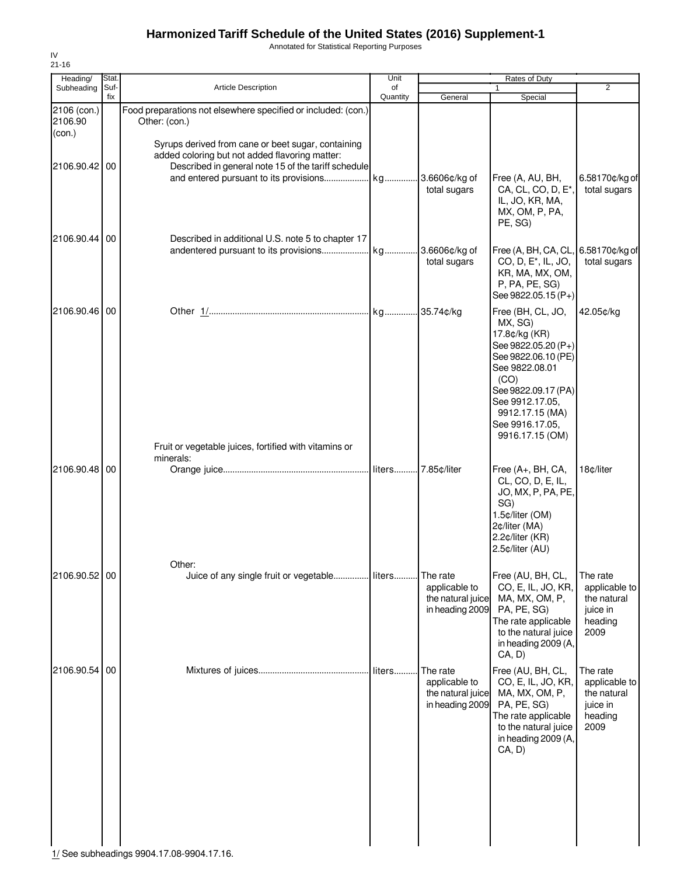Annotated for Statistical Reporting Purposes

| $\overline{2}$<br>Special<br>Free (A, AU, BH,<br>6.58170¢/kg of<br>CA, CL, CO, D, E*,<br>total sugars<br>IL, JO, KR, MA,<br>MX, OM, P, PA, |                                                                                                                                                                                                                                                                                                                                                                                                                                                                                                                                                                                                                                                                                                                                   |
|--------------------------------------------------------------------------------------------------------------------------------------------|-----------------------------------------------------------------------------------------------------------------------------------------------------------------------------------------------------------------------------------------------------------------------------------------------------------------------------------------------------------------------------------------------------------------------------------------------------------------------------------------------------------------------------------------------------------------------------------------------------------------------------------------------------------------------------------------------------------------------------------|
|                                                                                                                                            |                                                                                                                                                                                                                                                                                                                                                                                                                                                                                                                                                                                                                                                                                                                                   |
|                                                                                                                                            |                                                                                                                                                                                                                                                                                                                                                                                                                                                                                                                                                                                                                                                                                                                                   |
|                                                                                                                                            |                                                                                                                                                                                                                                                                                                                                                                                                                                                                                                                                                                                                                                                                                                                                   |
|                                                                                                                                            |                                                                                                                                                                                                                                                                                                                                                                                                                                                                                                                                                                                                                                                                                                                                   |
| Free (A, BH, CA, CL,<br>6.58170¢/kg of<br>total sugars                                                                                     |                                                                                                                                                                                                                                                                                                                                                                                                                                                                                                                                                                                                                                                                                                                                   |
| 42.05¢/kg                                                                                                                                  |                                                                                                                                                                                                                                                                                                                                                                                                                                                                                                                                                                                                                                                                                                                                   |
|                                                                                                                                            |                                                                                                                                                                                                                                                                                                                                                                                                                                                                                                                                                                                                                                                                                                                                   |
| 18¢/liter                                                                                                                                  |                                                                                                                                                                                                                                                                                                                                                                                                                                                                                                                                                                                                                                                                                                                                   |
| The rate<br>applicable to<br>the natural<br>juice in<br>heading<br>2009                                                                    |                                                                                                                                                                                                                                                                                                                                                                                                                                                                                                                                                                                                                                                                                                                                   |
| The rate<br>applicable to<br>the natural<br>juice in<br>heading<br>2009                                                                    |                                                                                                                                                                                                                                                                                                                                                                                                                                                                                                                                                                                                                                                                                                                                   |
| 2¢/liter (MA)                                                                                                                              | CO, D, E <sup>*</sup> , IL, JO,<br>KR, MA, MX, OM,<br>P, PA, PE, SG)<br>See 9822.05.15 (P+)<br>Free (BH, CL, JO,<br>17.8¢/kg (KR)<br>See 9822.05.20 (P+)<br>See 9822.06.10 (PE)<br>See 9822.08.01<br>See 9822.09.17 (PA)<br>See 9912.17.05,<br>9912.17.15 (MA)<br>See 9916.17.05,<br>9916.17.15 (OM)<br>Free (A+, BH, CA,<br>CL, CO, D, E, IL,<br>JO, MX, P, PA, PE,<br>1.5¢/liter (OM)<br>2.2¢/liter (KR)<br>2.5¢/liter (AU)<br>Free (AU, BH, CL,<br>CO, E, IL, JO, KR,<br>MA, MX, OM, P,<br>PA, PE, SG)<br>The rate applicable<br>to the natural juice<br>in heading 2009 (A,<br>Free (AU, BH, CL,<br>CO, E, IL, JO, KR,<br>MA, MX, OM, P,<br>PA, PE, SG)<br>The rate applicable<br>to the natural juice<br>in heading 2009 (A, |

IV 21-16

1/ See subheadings 9904.17.08-9904.17.16.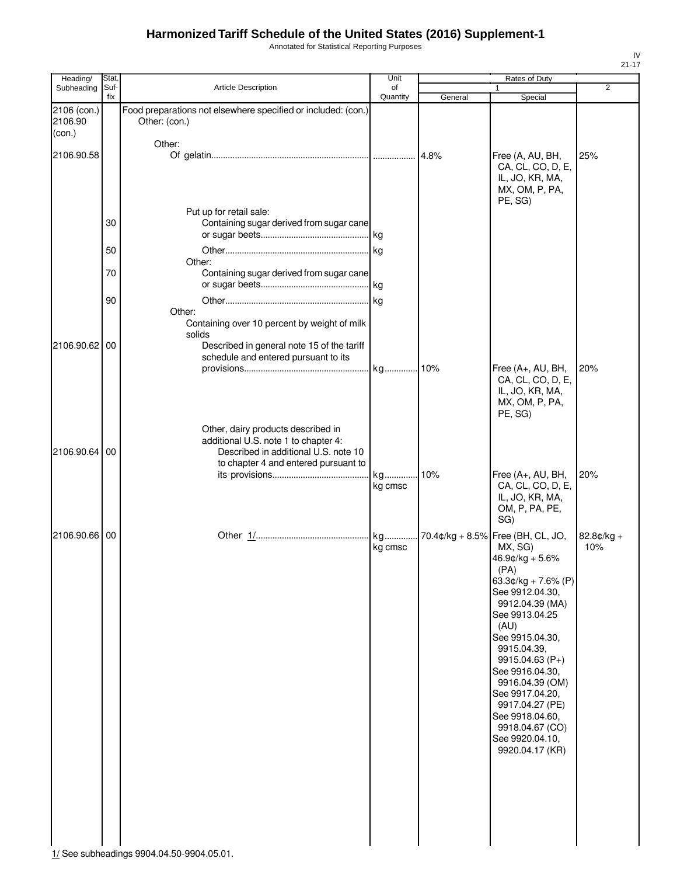Annotated for Statistical Reporting Purposes

| Heading/                         | Stat.       |                                                                                                                                                            | Unit           |         | Rates of Duty                                                                                                                                                                                                                                                                                                                                                                |                     |
|----------------------------------|-------------|------------------------------------------------------------------------------------------------------------------------------------------------------------|----------------|---------|------------------------------------------------------------------------------------------------------------------------------------------------------------------------------------------------------------------------------------------------------------------------------------------------------------------------------------------------------------------------------|---------------------|
| Subheading                       | Suf-<br>fix | Article Description                                                                                                                                        | of<br>Quantity | General | Special                                                                                                                                                                                                                                                                                                                                                                      | $\overline{2}$      |
| 2106 (con.)<br>2106.90<br>(con.) |             | Food preparations not elsewhere specified or included: (con.)<br>Other: (con.)                                                                             |                |         |                                                                                                                                                                                                                                                                                                                                                                              |                     |
| 2106.90.58                       |             | Other:                                                                                                                                                     |                | 4.8%    | Free (A, AU, BH,<br>CA, CL, CO, D, E,<br>IL, JO, KR, MA,<br>MX, OM, P, PA,<br>PE, SG)                                                                                                                                                                                                                                                                                        | 25%                 |
|                                  | 30          | Put up for retail sale:<br>Containing sugar derived from sugar cane                                                                                        |                |         |                                                                                                                                                                                                                                                                                                                                                                              |                     |
|                                  | 50          |                                                                                                                                                            |                |         |                                                                                                                                                                                                                                                                                                                                                                              |                     |
|                                  | 70          | Other:<br>Containing sugar derived from sugar cane                                                                                                         |                |         |                                                                                                                                                                                                                                                                                                                                                                              |                     |
|                                  | 90          |                                                                                                                                                            |                |         |                                                                                                                                                                                                                                                                                                                                                                              |                     |
| 2106.90.62 00                    |             | Other:<br>Containing over 10 percent by weight of milk<br>solids<br>Described in general note 15 of the tariff<br>schedule and entered pursuant to its     |                |         |                                                                                                                                                                                                                                                                                                                                                                              |                     |
|                                  |             |                                                                                                                                                            | kg 10%         |         | Free (A+, AU, BH,<br>CA, CL, CO, D, E,<br>IL, JO, KR, MA,<br>MX, OM, P, PA,<br>PE, SG)                                                                                                                                                                                                                                                                                       | 20%                 |
| 2106.90.64 00                    |             | Other, dairy products described in<br>additional U.S. note 1 to chapter 4:<br>Described in additional U.S. note 10<br>to chapter 4 and entered pursuant to |                |         |                                                                                                                                                                                                                                                                                                                                                                              |                     |
|                                  |             |                                                                                                                                                            | kg<br>kg cmsc  | 10%     | Free (A+, AU, BH,<br>CA, CL, CO, D, E,<br>IL, JO, KR, MA,<br>OM, P, PA, PE,<br>SG)                                                                                                                                                                                                                                                                                           | 20%                 |
| 2106.90.66 00                    |             |                                                                                                                                                            | kg<br>kg cmsc  |         | 70.4¢/kg + 8.5% Free (BH, CL, JO,<br>MX, SG)<br>46.9¢/kg + 5.6%<br>(PA)<br>63.3¢/kg + 7.6% (P)<br>See 9912.04.30,<br>9912.04.39 (MA)<br>See 9913.04.25<br>(AU)<br>See 9915.04.30.<br>9915.04.39,<br>$9915.04.63(P+)$<br>See 9916.04.30,<br>9916.04.39 (OM)<br>See 9917.04.20,<br>9917.04.27 (PE)<br>See 9918.04.60,<br>9918.04.67 (CO)<br>See 9920.04.10,<br>9920.04.17 (KR) | $82.8¢/kg +$<br>10% |

IV 21-17

1/ See subheadings 9904.04.50-9904.05.01.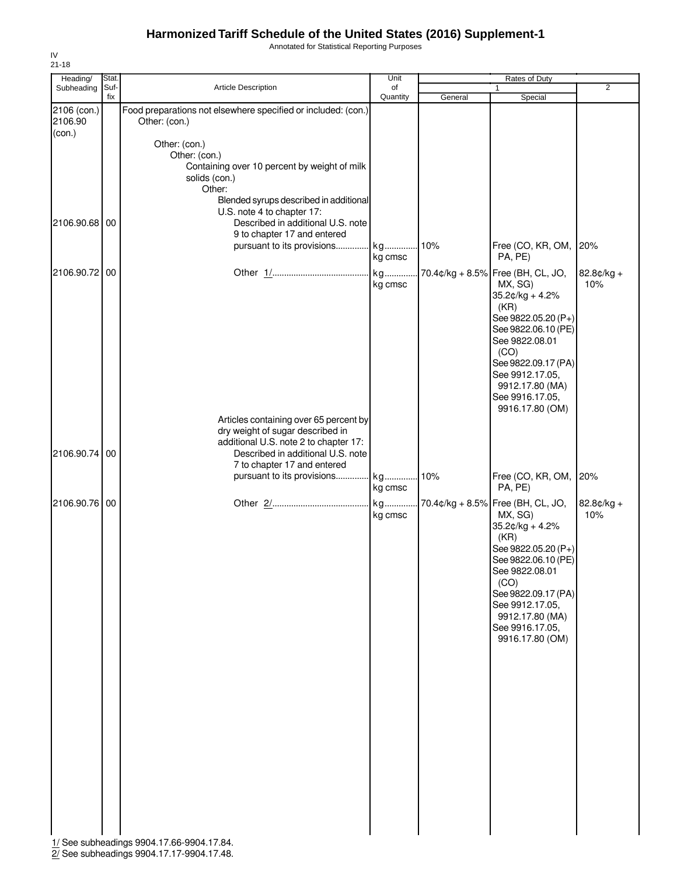Annotated for Statistical Reporting Purposes

| Heading/               | Stat.       |                                                                                                                                                                                                                       | Unit                     |         | Rates of Duty                                                                                                                                                                                                                                                 |                     |
|------------------------|-------------|-----------------------------------------------------------------------------------------------------------------------------------------------------------------------------------------------------------------------|--------------------------|---------|---------------------------------------------------------------------------------------------------------------------------------------------------------------------------------------------------------------------------------------------------------------|---------------------|
| Subheading             | Suf-<br>fix | Article Description                                                                                                                                                                                                   | of<br>Quantity           |         | 1                                                                                                                                                                                                                                                             | $\overline{2}$      |
| 2106 (con.)<br>2106.90 |             | Food preparations not elsewhere specified or included: (con.)<br>Other: (con.)                                                                                                                                        |                          | General | Special                                                                                                                                                                                                                                                       |                     |
| (con.)                 |             | Other: (con.)<br>Other: (con.)<br>Containing over 10 percent by weight of milk<br>solids (con.)<br>Other:<br>Blended syrups described in additional                                                                   |                          |         |                                                                                                                                                                                                                                                               |                     |
| 2106.90.68 00          |             | U.S. note 4 to chapter 17:<br>Described in additional U.S. note<br>9 to chapter 17 and entered<br>pursuant to its provisions                                                                                          | kg<br>kg cmsc            | 10%     | Free (CO, KR, OM,<br>PA, PE)                                                                                                                                                                                                                                  | 20%                 |
| 2106.90.72 00          |             |                                                                                                                                                                                                                       | kg<br>kg cmsc            |         | 70.4¢/kg + 8.5% Free (BH, CL, JO,<br>MX, SG)<br>35.2¢/kg + 4.2%<br>(KR)<br>See 9822.05.20 (P+)<br>See 9822.06.10 (PE)<br>See 9822.08.01<br>(CO)<br>See 9822.09.17 (PA)<br>See 9912.17.05,<br>9912.17.80 (MA)<br>See 9916.17.05,<br>9916.17.80 (OM)            | 82.8¢/kg +<br>10%   |
| 2106.90.74             | 00          | Articles containing over 65 percent by<br>dry weight of sugar described in<br>additional U.S. note 2 to chapter 17:<br>Described in additional U.S. note<br>7 to chapter 17 and entered<br>pursuant to its provisions | kg                       | 10%     | Free (CO, KR, OM, 20%                                                                                                                                                                                                                                         |                     |
| 2106.90.76 00          |             |                                                                                                                                                                                                                       | kg cmsc<br>kg<br>kg cmsc |         | PA, PE)<br>70.4¢/kg + 8.5% Free (BH, CL, JO,<br>MX, SG)<br>35.2¢/kg + 4.2%<br>(KR)<br>See 9822.05.20 (P+)<br>See 9822.06.10 (PE)<br>See 9822.08.01<br>(CO)<br>See 9822.09.17 (PA)<br>See 9912.17.05,<br>9912.17.80 (MA)<br>See 9916.17.05,<br>9916.17.80 (OM) | $82.8¢/kg +$<br>10% |
|                        |             | 1/ See subheadings 9904.17.66-9904.17.84.                                                                                                                                                                             |                          |         |                                                                                                                                                                                                                                                               |                     |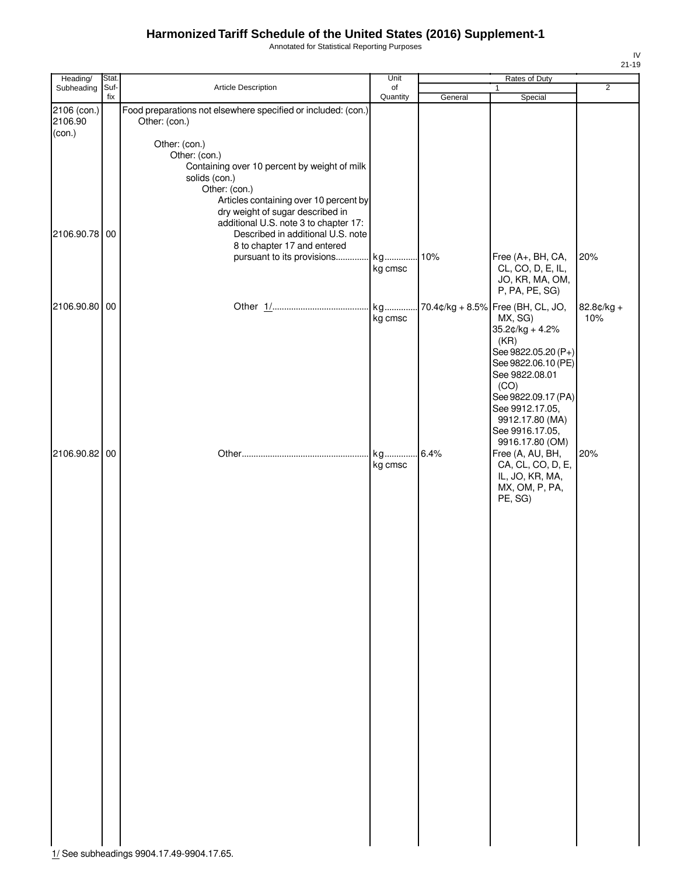Annotated for Statistical Reporting Purposes

| Heading/                         | Stat.       |                                                                                                                                                                                                          | Unit           |         | Rates of Duty                                                                                                                                                                                                                                        |                   |
|----------------------------------|-------------|----------------------------------------------------------------------------------------------------------------------------------------------------------------------------------------------------------|----------------|---------|------------------------------------------------------------------------------------------------------------------------------------------------------------------------------------------------------------------------------------------------------|-------------------|
| Subheading                       | Suf-<br>fix | Article Description                                                                                                                                                                                      | of<br>Quantity | General | 1<br>Special                                                                                                                                                                                                                                         | $\overline{2}$    |
| 2106 (con.)<br>2106.90<br>(con.) |             | Food preparations not elsewhere specified or included: (con.)<br>Other: (con.)<br>Other: (con.)<br>Other: (con.)<br>Containing over 10 percent by weight of milk<br>solids (con.)                        |                |         |                                                                                                                                                                                                                                                      |                   |
| 2106.90.78 00                    |             | Other: (con.)<br>Articles containing over 10 percent by<br>dry weight of sugar described in<br>additional U.S. note 3 to chapter 17:<br>Described in additional U.S. note<br>8 to chapter 17 and entered |                |         |                                                                                                                                                                                                                                                      |                   |
|                                  |             | pursuant to its provisions kg                                                                                                                                                                            | kg cmsc        | .10%    | Free (A+, BH, CA,<br>CL, CO, D, E, IL,<br>JO, KR, MA, OM,<br>P, PA, PE, SG)                                                                                                                                                                          | 20%               |
| 2106.90.80 00                    |             |                                                                                                                                                                                                          | kg<br>kg cmsc  |         | 70.4¢/kg + 8.5% Free (BH, CL, JO,<br>MX, SG)<br>$35.2¢/kg + 4.2%$<br>(KR)<br>See 9822.05.20 (P+)<br>See 9822.06.10 (PE)<br>See 9822.08.01<br>(CO)<br>See 9822.09.17 (PA)<br>See 9912.17.05,<br>9912.17.80 (MA)<br>See 9916.17.05,<br>9916.17.80 (OM) | 82.8¢/kg +<br>10% |
| 2106.90.82 00                    |             |                                                                                                                                                                                                          | kg<br>kg cmsc  | 6.4%    | Free (A, AU, BH,<br>CA, CL, CO, D, E,<br>IL, JO, KR, MA,<br>MX, OM, P, PA,<br>PE, SG)                                                                                                                                                                | 20%               |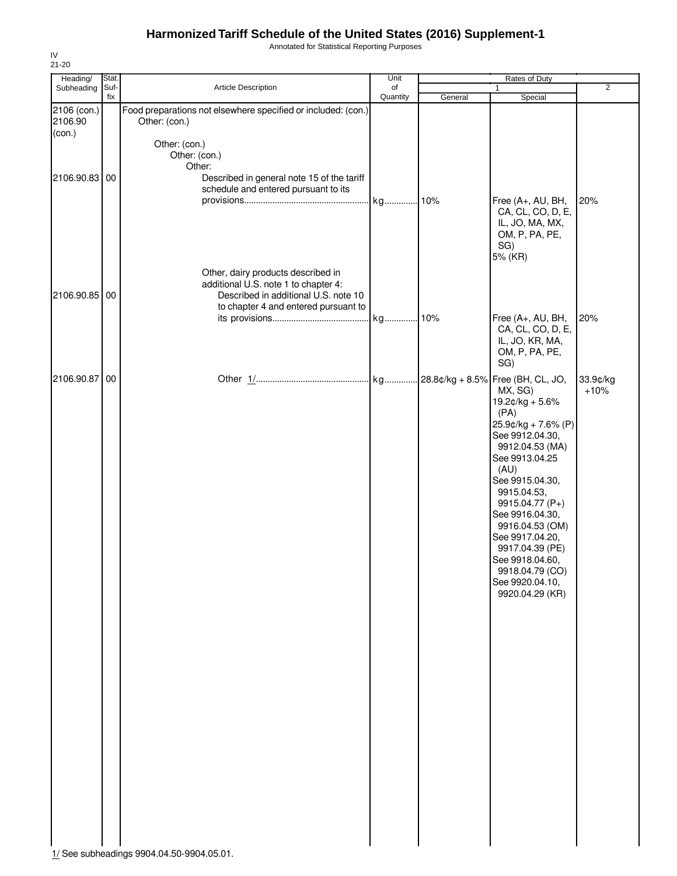Annotated for Statistical Reporting Purposes

| Heading/                         | Stat.       |                                                                                                                                                            | Unit           |         | Rates of Duty                                                                                                                                                                                                                                                                                                                          |                    |
|----------------------------------|-------------|------------------------------------------------------------------------------------------------------------------------------------------------------------|----------------|---------|----------------------------------------------------------------------------------------------------------------------------------------------------------------------------------------------------------------------------------------------------------------------------------------------------------------------------------------|--------------------|
| Subheading                       | Suf-<br>fix | Article Description                                                                                                                                        | of<br>Quantity | General | 1<br>Special                                                                                                                                                                                                                                                                                                                           | $\overline{2}$     |
| 2106 (con.)<br>2106.90<br>(con.) |             | Food preparations not elsewhere specified or included: (con.)<br>Other: (con.)                                                                             |                |         |                                                                                                                                                                                                                                                                                                                                        |                    |
| 2106.90.83                       | 00          | Other: (con.)<br>Other: (con.)<br>Other:<br>Described in general note 15 of the tariff                                                                     |                |         |                                                                                                                                                                                                                                                                                                                                        |                    |
|                                  |             | schedule and entered pursuant to its                                                                                                                       | kg 10%         |         | Free (A+, AU, BH,<br>CA, CL, CO, D, E,<br>IL, JO, MA, MX,<br>OM, P, PA, PE,<br>SG)<br>5% (KR)                                                                                                                                                                                                                                          | 20%                |
| 2106.90.85 00                    |             | Other, dairy products described in<br>additional U.S. note 1 to chapter 4:<br>Described in additional U.S. note 10<br>to chapter 4 and entered pursuant to |                |         |                                                                                                                                                                                                                                                                                                                                        |                    |
|                                  |             |                                                                                                                                                            | kg 10%         |         | Free (A+, AU, BH,<br>CA, CL, CO, D, E,<br>IL, JO, KR, MA,<br>OM, P, PA, PE,<br>SG)                                                                                                                                                                                                                                                     | 20%                |
| 2106.90.87                       | 00          |                                                                                                                                                            |                |         | MX, SG)<br>19.2¢/kg + 5.6%<br>(PA)<br>25.9¢/kg + 7.6% (P)<br>See 9912.04.30,<br>9912.04.53 (MA)<br>See 9913.04.25<br>(AU)<br>See 9915.04.30,<br>9915.04.53,<br>9915.04.77 (P+)<br>See 9916.04.30,<br>9916.04.53 (OM)<br>See 9917.04.20,<br>9917.04.39 (PE)<br>See 9918.04.60,<br>9918.04.79 (CO)<br>See 9920.04.10,<br>9920.04.29 (KR) | 33.9¢/kg<br>$+10%$ |

IV 21-20

1/ See subheadings 9904.04.50-9904.05.01.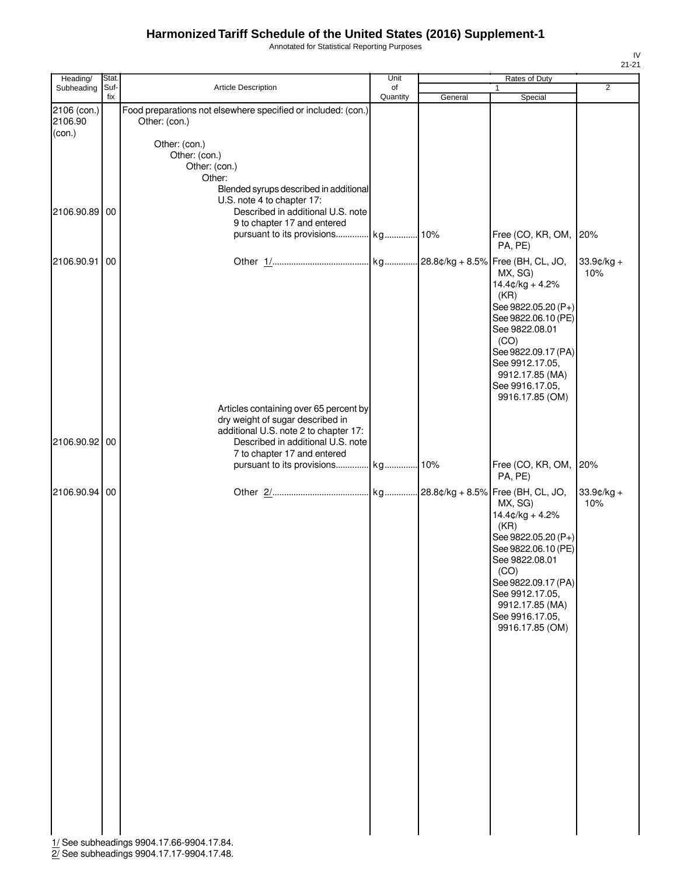Annotated for Statistical Reporting Purposes

| Heading/                         | Stat.       |                                                                                                                                                                               | Unit           |         | Rates of Duty                                                                                                                                                                                                              |                      |
|----------------------------------|-------------|-------------------------------------------------------------------------------------------------------------------------------------------------------------------------------|----------------|---------|----------------------------------------------------------------------------------------------------------------------------------------------------------------------------------------------------------------------------|----------------------|
| Subheading                       | Suf-<br>fix | Article Description                                                                                                                                                           | of<br>Quantity | General | 1<br>Special                                                                                                                                                                                                               | $\overline{2}$       |
| 2106 (con.)<br>2106.90<br>(con.) |             | Food preparations not elsewhere specified or included: (con.)<br>Other: (con.)<br>Other: (con.)<br>Other: (con.)<br>Other: (con.)<br>Other:                                   |                |         |                                                                                                                                                                                                                            |                      |
| 2106.90.89 00                    |             | Blended syrups described in additional<br>U.S. note 4 to chapter 17:<br>Described in additional U.S. note<br>9 to chapter 17 and entered<br>pursuant to its provisions kg 10% |                |         | Free (CO, KR, OM,<br>PA, PE)                                                                                                                                                                                               | 20%                  |
| 2106.90.91 00                    |             | Articles containing over 65 percent by                                                                                                                                        |                |         | MX, SG)<br>$14.4¢/kg + 4.2%$<br>(KR)<br>See 9822.05.20 (P+)<br>See 9822.06.10 (PE)<br>See 9822.08.01<br>(CO)<br>See 9822.09.17 (PA)<br>See 9912.17.05,<br>9912.17.85 (MA)<br>See 9916.17.05,<br>9916.17.85 (OM)            | $33.9$ ¢/kg +<br>10% |
| 2106.90.92 00                    |             | dry weight of sugar described in<br>additional U.S. note 2 to chapter 17:<br>Described in additional U.S. note<br>7 to chapter 17 and entered                                 |                |         | Free (CO, KR, OM,                                                                                                                                                                                                          | 20%                  |
| 2106.90.94 00                    |             | 1/ See subheadings 9904.17.66-9904.17.84.                                                                                                                                     |                |         | PA, PE)<br>MX, SG)<br>$14.4¢/kg + 4.2%$<br>(KR)<br>See 9822.05.20 (P+)<br>See 9822.06.10 (PE)<br>See 9822.08.01<br>(CO)<br>See 9822.09.17 (PA)<br>See 9912.17.05,<br>9912.17.85 (MA)<br>See 9916.17.05,<br>9916.17.85 (OM) | 33.9¢/kg +<br>10%    |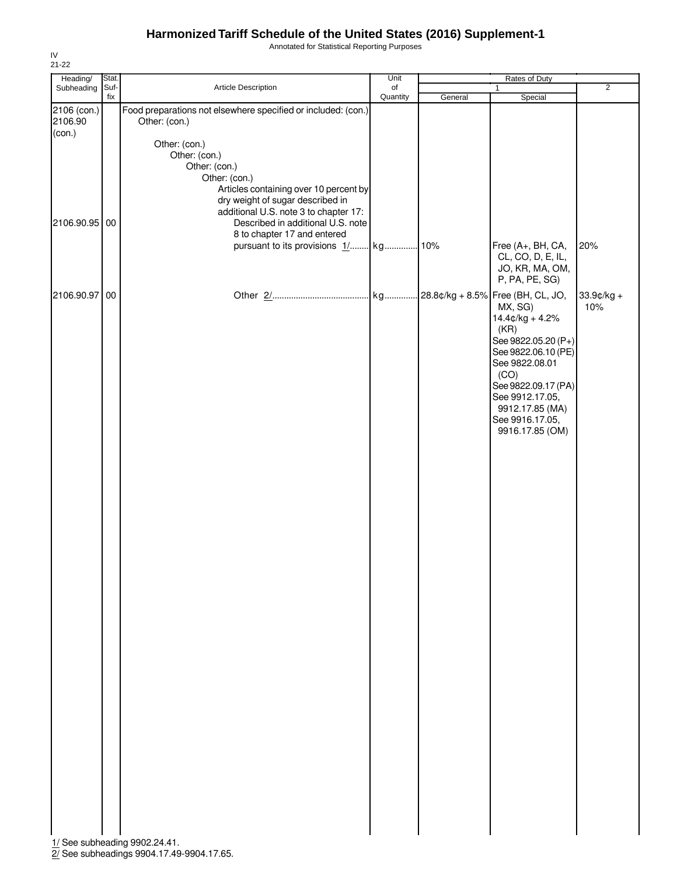Annotated for Statistical Reporting Purposes

| Heading/      | Stat. |                                                               | Unit     |         | <b>Rates of Duty</b> |                |
|---------------|-------|---------------------------------------------------------------|----------|---------|----------------------|----------------|
| Subheading    | Suf-  | Article Description                                           | of       |         | $\mathbf{1}$         | $\overline{2}$ |
|               | fix   |                                                               | Quantity | General | Special              |                |
| 2106 (con.)   |       | Food preparations not elsewhere specified or included: (con.) |          |         |                      |                |
| 2106.90       |       | Other: (con.)                                                 |          |         |                      |                |
| (con.)        |       |                                                               |          |         |                      |                |
|               |       | Other: (con.)                                                 |          |         |                      |                |
|               |       | Other: (con.)                                                 |          |         |                      |                |
|               |       | Other: (con.)                                                 |          |         |                      |                |
|               |       | Other: (con.)                                                 |          |         |                      |                |
|               |       | Articles containing over 10 percent by                        |          |         |                      |                |
|               |       | dry weight of sugar described in                              |          |         |                      |                |
|               |       | additional U.S. note 3 to chapter 17:                         |          |         |                      |                |
| 2106.90.95 00 |       | Described in additional U.S. note                             |          |         |                      |                |
|               |       | 8 to chapter 17 and entered                                   |          |         |                      |                |
|               |       | pursuant to its provisions 1/ kg 10%                          |          |         | Free (A+, BH, CA,    | 20%            |
|               |       |                                                               |          |         | CL, CO, D, E, IL,    |                |
|               |       |                                                               |          |         | JO, KR, MA, OM,      |                |
|               |       |                                                               |          |         | P, PA, PE, SG)       |                |
|               |       |                                                               |          |         |                      |                |
| 2106.90.97 00 |       |                                                               |          |         |                      | 33.9¢/kg +     |
|               |       |                                                               |          |         | MX, SG)              | 10%            |
|               |       |                                                               |          |         | $14.4¢/kg + 4.2%$    |                |
|               |       |                                                               |          |         | (KR)                 |                |
|               |       |                                                               |          |         | See 9822.05.20 (P+)  |                |
|               |       |                                                               |          |         | See 9822.06.10 (PE)  |                |
|               |       |                                                               |          |         | See 9822.08.01       |                |
|               |       |                                                               |          |         | (CO)                 |                |
|               |       |                                                               |          |         | See 9822.09.17 (PA)  |                |
|               |       |                                                               |          |         | See 9912.17.05,      |                |
|               |       |                                                               |          |         | 9912.17.85 (MA)      |                |
|               |       |                                                               |          |         | See 9916.17.05,      |                |
|               |       |                                                               |          |         | 9916.17.85 (OM)      |                |
|               |       |                                                               |          |         |                      |                |
|               |       |                                                               |          |         |                      |                |
|               |       |                                                               |          |         |                      |                |
|               |       |                                                               |          |         |                      |                |
|               |       |                                                               |          |         |                      |                |
|               |       |                                                               |          |         |                      |                |
|               |       |                                                               |          |         |                      |                |
|               |       |                                                               |          |         |                      |                |
|               |       |                                                               |          |         |                      |                |
|               |       |                                                               |          |         |                      |                |
|               |       |                                                               |          |         |                      |                |
|               |       |                                                               |          |         |                      |                |
|               |       |                                                               |          |         |                      |                |
|               |       |                                                               |          |         |                      |                |
|               |       |                                                               |          |         |                      |                |
|               |       |                                                               |          |         |                      |                |
|               |       |                                                               |          |         |                      |                |
|               |       |                                                               |          |         |                      |                |
|               |       |                                                               |          |         |                      |                |
|               |       |                                                               |          |         |                      |                |
|               |       |                                                               |          |         |                      |                |
|               |       |                                                               |          |         |                      |                |
|               |       |                                                               |          |         |                      |                |
|               |       |                                                               |          |         |                      |                |
|               |       |                                                               |          |         |                      |                |
|               |       |                                                               |          |         |                      |                |
|               |       |                                                               |          |         |                      |                |
|               |       |                                                               |          |         |                      |                |
|               |       |                                                               |          |         |                      |                |
|               |       |                                                               |          |         |                      |                |
|               |       |                                                               |          |         |                      |                |
|               |       |                                                               |          |         |                      |                |
|               |       |                                                               |          |         |                      |                |
|               |       |                                                               |          |         |                      |                |
|               |       |                                                               |          |         |                      |                |
|               |       |                                                               |          |         |                      |                |